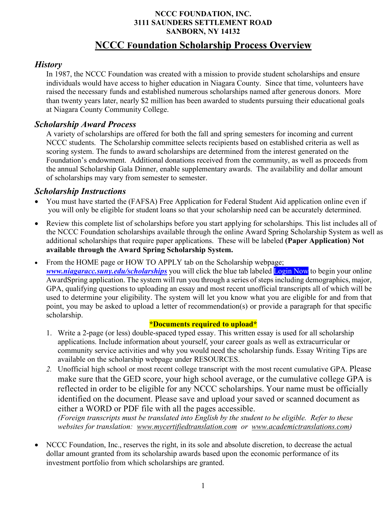#### **NCCC FOUNDATION, INC. 3111 SAUNDERS SETTLEMENT ROAD SANBORN, NY 14132**

# **NCCC Foundation Scholarship Process Overview**

#### *History*

In 1987, the NCCC Foundation was created with a mission to provide student scholarships and ensure individuals would have access to higher education in Niagara County. Since that time, volunteers have raised the necessary funds and established numerous scholarships named after generous donors. More than twenty years later, nearly \$2 million has been awarded to students pursuing their educational goals at Niagara County Community College.

#### *Scholarship Award Process*

A variety of scholarships are offered for both the fall and spring semesters for incoming and current NCCC students. The Scholarship committee selects recipients based on established criteria as well as scoring system. The funds to award scholarships are determined from the interest generated on the Foundation's endowment. Additional donations received from the community, as well as proceeds from the annual Scholarship Gala Dinner, enable supplementary awards. The availability and dollar amount of scholarships may vary from semester to semester.

#### *Scholarship Instructions*

- You must have started the (FAFSA) Free Application for Federal Student Aid application online even if you will only be eligible for student loans so that your scholarship need can be accurately determined.
- Review this complete list of scholarships before you start applying for scholarships. This list includes all of the NCCC Foundation scholarships available through the online Award Spring Scholarship System as well as additional scholarships that require paper applications. These will be labeled **(Paper Application) Not available through the Award Spring Scholarship System.**

• From the HOME page or HOW TO APPLY tab on the Scholarship webpage; *www.niagaracc.suny.edu/scholarships* you will click the blue tab labeled Login Now to begin your online AwardSpring application. The system will run you through a series of steps including demographics, major, GPA, qualifying questions to uploading an essay and most recent unofficial transcripts all of which will be used to determine your eligibility. The system will let you know what you are eligible for and from that point, you may be asked to upload a letter of recommendation(s) or provide a paragraph for that specific scholarship.

#### **\*Documents required to upload\***

- 1. Write a 2-page (or less) double-spaced typed essay. This written essay is used for all scholarship applications. Include information about yourself, your career goals as well as extracurricular or community service activities and why you would need the scholarship funds. Essay Writing Tips are available on the scholarship webpage under RESOURCES.
- *2.* Unofficial high school or most recent college transcript with the most recent cumulative GPA. Please make sure that the GED score, your high school average, or the cumulative college GPA is reflected in order to be eligible for any NCCC scholarships. Your name must be officially identified on the document. Please save and upload your saved or scanned document as either a WORD or PDF file with all the pages accessible.

*(Foreign transcripts must be translated into English by the student to be eligible. Refer to these websites for translation: www.mycertifiedtranslation.com or www.academictranslations.com)* 

• NCCC Foundation, Inc., reserves the right, in its sole and absolute discretion, to decrease the actual dollar amount granted from its scholarship awards based upon the economic performance of its investment portfolio from which scholarships are granted.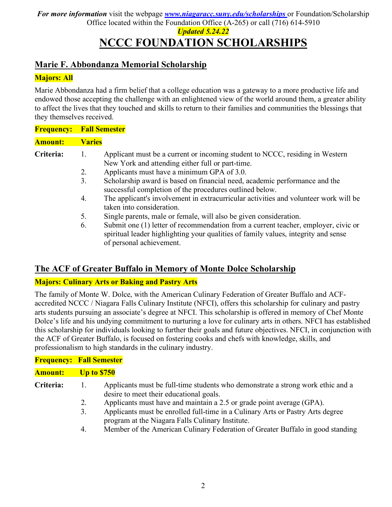# **NCCC FOUNDATION SCHOLARSHIPS**

# **Marie F. Abbondanza Memorial Scholarship**

## **Majors: All**

Marie Abbondanza had a firm belief that a college education was a gateway to a more productive life and endowed those accepting the challenge with an enlightened view of the world around them, a greater ability to affect the lives that they touched and skills to return to their families and communities the blessings that they themselves received.

| <b>Frequency:</b> |                | <b>Fall Semester</b>                                                                                                                                                                                 |
|-------------------|----------------|------------------------------------------------------------------------------------------------------------------------------------------------------------------------------------------------------|
| <b>Amount:</b>    | <b>Varies</b>  |                                                                                                                                                                                                      |
| Criteria:         | 1.             | Applicant must be a current or incoming student to NCCC, residing in Western<br>New York and attending either full or part-time.                                                                     |
|                   | 2.             | Applicants must have a minimum GPA of 3.0.                                                                                                                                                           |
|                   | 3 <sub>1</sub> | Scholarship award is based on financial need, academic performance and the<br>successful completion of the procedures outlined below.                                                                |
|                   | 4.             | The applicant's involvement in extracurricular activities and volunteer work will be<br>taken into consideration.                                                                                    |
|                   | 5.             | Single parents, male or female, will also be given consideration.                                                                                                                                    |
|                   | 6.             | Submit one (1) letter of recommendation from a current teacher, employer, civic or<br>spiritual leader highlighting your qualities of family values, integrity and sense<br>of personal achievement. |

# **The ACF of Greater Buffalo in Memory of Monte Dolce Scholarship**

#### **Majors: Culinary Arts or Baking and Pastry Arts**

The family of Monte W. Dolce, with the American Culinary Federation of Greater Buffalo and ACFaccredited NCCC / Niagara Falls Culinary Institute (NFCI), offers this scholarship for culinary and pastry arts students pursuing an associate's degree at NFCI. This scholarship is offered in memory of Chef Monte Dolce's life and his undying commitment to nurturing a love for culinary arts in others. NFCI has established this scholarship for individuals looking to further their goals and future objectives. NFCI, in conjunction with the ACF of Greater Buffalo, is focused on fostering cooks and chefs with knowledge, skills, and professionalism to high standards in the culinary industry.

| <b>Frequency: Fall Semester</b> |                    |                                                                                                                                    |
|---------------------------------|--------------------|------------------------------------------------------------------------------------------------------------------------------------|
| <b>Amount:</b>                  | <b>Up to \$750</b> |                                                                                                                                    |
| Criteria:                       |                    | Applicants must be full-time students who demonstrate a strong work ethic and a<br>desire to meet their educational goals.         |
|                                 | 2.                 | Applicants must have and maintain a 2.5 or grade point average (GPA).                                                              |
|                                 | 3.                 | Applicants must be enrolled full-time in a Culinary Arts or Pastry Arts degree<br>program at the Niagara Falls Culinary Institute. |
|                                 | 4.                 | Member of the American Culinary Federation of Greater Buffalo in good standing                                                     |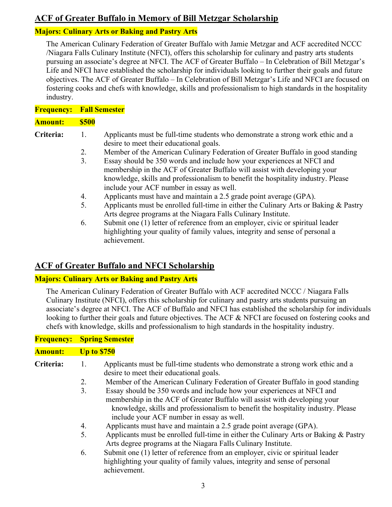# **ACF of Greater Buffalo in Memory of Bill Metzgar Scholarship**

#### **Majors: Culinary Arts or Baking and Pastry Arts**

The American Culinary Federation of Greater Buffalo with Jamie Metzgar and ACF accredited NCCC /Niagara Falls Culinary Institute (NFCI), offers this scholarship for culinary and pastry arts students pursuing an associate's degree at NFCI. The ACF of Greater Buffalo – In Celebration of Bill Metzgar's Life and NFCI have established the scholarship for individuals looking to further their goals and future objectives. The ACF of Greater Buffalo – In Celebration of Bill Metzgar's Life and NFCI are focused on fostering cooks and chefs with knowledge, skills and professionalism to high standards in the hospitality industry.

| <b>Frequency:</b> | <b>Fall Semester</b> |                                                                                                                                                                 |  |
|-------------------|----------------------|-----------------------------------------------------------------------------------------------------------------------------------------------------------------|--|
| <b>Amount:</b>    | <b>\$500</b>         |                                                                                                                                                                 |  |
| Criteria:         |                      | Applicants must be full-time students who demonstrate a strong work ethic and a<br>desire to meet their educational goals.                                      |  |
|                   | 2.                   | Member of the American Culinary Federation of Greater Buffalo in good standing                                                                                  |  |
|                   | 3.                   | Essay should be 350 words and include how your experiences at NFCI and                                                                                          |  |
|                   |                      | membership in the ACF of Greater Buffalo will assist with developing your                                                                                       |  |
|                   |                      | knowledge, skills and professionalism to benefit the hospitality industry. Please                                                                               |  |
|                   |                      | include your ACF number in essay as well.                                                                                                                       |  |
|                   | 4.                   | Applicants must have and maintain a 2.5 grade point average (GPA).                                                                                              |  |
|                   | 5.                   | Applicants must be enrolled full-time in either the Culinary Arts or Baking $\&$ Pastry                                                                         |  |
|                   |                      | Arts degree programs at the Niagara Falls Culinary Institute.                                                                                                   |  |
|                   | 6.                   | Submit one (1) letter of reference from an employer, civic or spiritual leader<br>highlighting your quality of family values, integrity and sense of personal a |  |

# **ACF of Greater Buffalo and NFCI Scholarship**

achievement.

#### **Majors: Culinary Arts or Baking and Pastry Arts**

The American Culinary Federation of Greater Buffalo with ACF accredited NCCC / Niagara Falls Culinary Institute (NFCI), offers this scholarship for culinary and pastry arts students pursuing an associate's degree at NFCI. The ACF of Buffalo and NFCI has established the scholarship for individuals looking to further their goals and future objectives. The ACF & NFCI are focused on fostering cooks and chefs with knowledge, skills and professionalism to high standards in the hospitality industry.

## **Frequency: Spring Semester**

#### **Amount: Up to \$750**

- **Criteria:** 1. Applicants must be full-time students who demonstrate a strong work ethic and a desire to meet their educational goals.
	- 2. Member of the American Culinary Federation of Greater Buffalo in good standing
	- 3. Essay should be 350 words and include how your experiences at NFCI and membership in the ACF of Greater Buffalo will assist with developing your knowledge, skills and professionalism to benefit the hospitality industry. Please include your ACF number in essay as well.
	- 4. Applicants must have and maintain a 2.5 grade point average (GPA).
	- 5. Applicants must be enrolled full-time in either the Culinary Arts or Baking & Pastry Arts degree programs at the Niagara Falls Culinary Institute.
	- 6. Submit one (1) letter of reference from an employer, civic or spiritual leader highlighting your quality of family values, integrity and sense of personal achievement.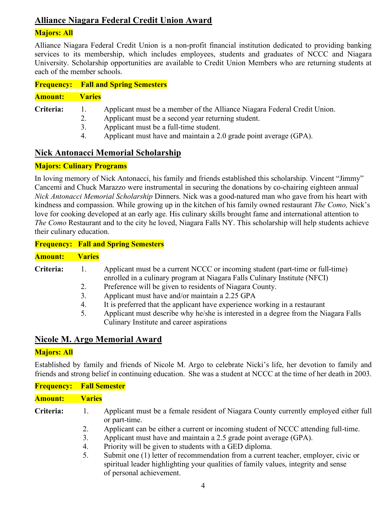# **Alliance Niagara Federal Credit Union Award**

#### **Majors: All**

Alliance Niagara Federal Credit Union is a non-profit financial institution dedicated to providing banking services to its membership, which includes employees, students and graduates of NCCC and Niagara University. Scholarship opportunities are available to Credit Union Members who are returning students at each of the member schools.

| <b>Frequency:</b> Fall and Spring Semesters |  |
|---------------------------------------------|--|
|                                             |  |

#### **Amount: Varies**

- **Criteria:** 1. Applicant must be a member of the Alliance Niagara Federal Credit Union.
	- 2. Applicant must be a second year returning student.
	- 3. Applicant must be a full-time student.
	- 4. Applicant must have and maintain a 2.0 grade point average (GPA).

# **Nick Antonacci Memorial Scholarship**

#### **Majors: Culinary Programs**

In loving memory of Nick Antonacci, his family and friends established this scholarship. Vincent "Jimmy" Cancemi and Chuck Marazzo were instrumental in securing the donations by co-chairing eighteen annual *Nick Antonacci Memorial Scholarship* Dinners. Nick was a good-natured man who gave from his heart with kindness and compassion. While growing up in the kitchen of his family owned restaurant *The Como,* Nick's love for cooking developed at an early age. His culinary skills brought fame and international attention to *The Como* Restaurant and to the city he loved, Niagara Falls NY. This scholarship will help students achieve their culinary education.

**Frequency: Fall and Spring Semesters**

#### **Amount: Varies**

- **Criteria:** 1. Applicant must be a current NCCC or incoming student (part-time or full-time) enrolled in a culinary program at Niagara Falls Culinary Institute (NFCI)
	- 2. Preference will be given to residents of Niagara County.
	- 3. Applicant must have and/or maintain a 2.25 GPA
	- 4. It is preferred that the applicant have experience working in a restaurant
	- 5. Applicant must describe why he/she is interested in a degree from the Niagara Falls Culinary Institute and career aspirations

#### **Nicole M. Argo Memorial Award**

#### **Majors: All**

Established by family and friends of Nicole M. Argo to celebrate Nicki's life, her devotion to family and friends and strong belief in continuing education. She was a student at NCCC at the time of her death in 2003.

|                | <b>Frequency: Fall Semester</b> |                                                                                                       |  |
|----------------|---------------------------------|-------------------------------------------------------------------------------------------------------|--|
| <b>Amount:</b> | Varies                          |                                                                                                       |  |
| Criteria:      |                                 | Applicant must be a female resident of Niagara County currently employed either full<br>or part-time. |  |
|                |                                 | Applicant can be either a current or incoming student of NCCC attending full-time.                    |  |
|                |                                 | $\Lambda$ policent must have and maintain a $2.5$ and point everage (CD $\Lambda$ )                   |  |

- 3. Applicant must have and maintain a 2.5 grade point average (GPA). 4. Priority will be given to students with a GED diploma.
- 5. Submit one (1) letter of recommendation from a current teacher, employer, civic or spiritual leader highlighting your qualities of family values, integrity and sense of personal achievement.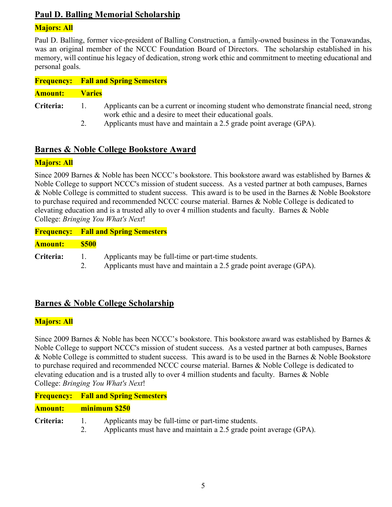# **Paul D. Balling Memorial Scholarship**

#### **Majors: All**

Paul D. Balling, former vice-president of Balling Construction, a family-owned business in the Tonawandas, was an original member of the NCCC Foundation Board of Directors. The scholarship established in his memory, will continue his legacy of dedication, strong work ethic and commitment to meeting educational and personal goals.

|                | <b>Frequency:</b> Fall and Spring Semesters |                                                                                                                                                    |
|----------------|---------------------------------------------|----------------------------------------------------------------------------------------------------------------------------------------------------|
| <b>Amount:</b> | <b>Varies</b>                               |                                                                                                                                                    |
| Criteria:      | $\mathbf{I}$                                | Applicants can be a current or incoming student who demonstrate financial need, strong<br>work ethic and a desire to meet their educational goals. |
|                | 2.                                          | Applicants must have and maintain a 2.5 grade point average (GPA).                                                                                 |

# **Barnes & Noble College Bookstore Award**

#### **Majors: All**

Since 2009 Barnes & Noble has been NCCC's bookstore. This bookstore award was established by Barnes & Noble College to support NCCC's mission of student success. As a vested partner at both campuses, Barnes & Noble College is committed to student success. This award is to be used in the Barnes & Noble Bookstore to purchase required and recommended NCCC course material. Barnes & Noble College is dedicated to elevating education and is a trusted ally to over 4 million students and faculty. Barnes & Noble College: *Bringing You What's Next*!

|                  |              | <b>Frequency: Fall and Spring Semesters</b>        |
|------------------|--------------|----------------------------------------------------|
| Amount:          | - 8500       |                                                    |
| <b>Criteria:</b> | $\mathbf{L}$ | Applicants may be full-time or part-time students. |

2. Applicants must have and maintain a 2.5 grade point average (GPA).

# **Barnes & Noble College Scholarship**

#### **Majors: All**

Since 2009 Barnes & Noble has been NCCC's bookstore. This bookstore award was established by Barnes & Noble College to support NCCC's mission of student success. As a vested partner at both campuses, Barnes & Noble College is committed to student success. This award is to be used in the Barnes & Noble Bookstore to purchase required and recommended NCCC course material. Barnes & Noble College is dedicated to elevating education and is a trusted ally to over 4 million students and faculty. Barnes & Noble College: *Bringing You What's Next*!

#### **Amount: minimum \$250**

**Criteria:** 1. Applicants may be full-time or part-time students. 2. Applicants must have and maintain a 2.5 grade point average (GPA).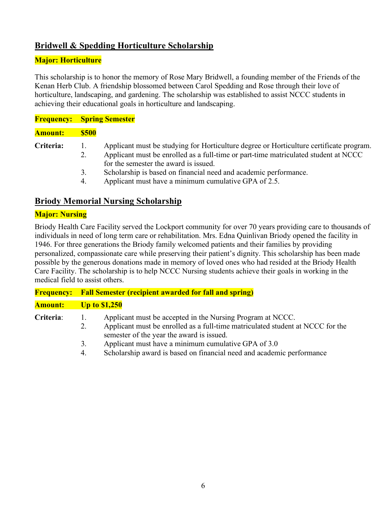# **Bridwell & Spedding Horticulture Scholarship**

#### **Major: Horticulture**

This scholarship is to honor the memory of Rose Mary Bridwell, a founding member of the Friends of the Kenan Herb Club. A friendship blossomed between Carol Spedding and Rose through their love of horticulture, landscaping, and gardening. The scholarship was established to assist NCCC students in achieving their educational goals in horticulture and landscaping.

| <b>Frequency:</b> Spring Semester |             |                                                                                                                                                                                                                         |
|-----------------------------------|-------------|-------------------------------------------------------------------------------------------------------------------------------------------------------------------------------------------------------------------------|
| Amount:                           | <b>S500</b> |                                                                                                                                                                                                                         |
| <b>Criteria:</b>                  | Ι.<br>2.    | Applicant must be studying for Horticulture degree or Horticulture certificate program.<br>Applicant must be enrolled as a full-time or part-time matriculated student at NCCC<br>for the semester the award is issued. |
|                                   | 3.<br>4.    | Scholarship is based on financial need and academic performance.<br>Applicant must have a minimum cumulative GPA of 2.5.                                                                                                |

# **Briody Memorial Nursing Scholarship**

#### **Major: Nursing**

Briody Health Care Facility served the Lockport community for over 70 years providing care to thousands of individuals in need of long term care or rehabilitation. Mrs. Edna Quinlivan Briody opened the facility in 1946. For three generations the Briody family welcomed patients and their families by providing personalized, compassionate care while preserving their patient's dignity. This scholarship has been made possible by the generous donations made in memory of loved ones who had resided at the Briody Health Care Facility. The scholarship is to help NCCC Nursing students achieve their goals in working in the medical field to assist others.

| <b>Frequency:</b> | <b>Fall Semester (recipient awarded for fall and spring)</b>                                                                                                                                                                                                                                                                                |  |  |
|-------------------|---------------------------------------------------------------------------------------------------------------------------------------------------------------------------------------------------------------------------------------------------------------------------------------------------------------------------------------------|--|--|
| <b>Amount:</b>    | <b>Up to \$1,250</b>                                                                                                                                                                                                                                                                                                                        |  |  |
| Criteria:         | Applicant must be accepted in the Nursing Program at NCCC.<br>Applicant must be enrolled as a full-time matriculated student at NCCC for the<br>2.<br>semester of the year the award is issued.<br>Applicant must have a minimum cumulative GPA of 3.0<br>3.<br>Scholarship award is based on financial need and academic performance<br>4. |  |  |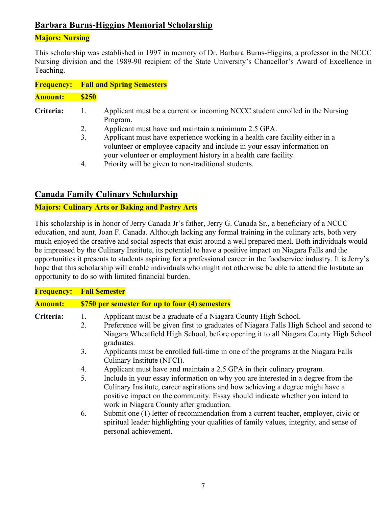# **Barbara Burns-Higgins Memorial Scholarship**

# **Majors: Nursing**

This scholarship was established in 1997 in memory of Dr. Barbara Burns-Higgins, a professor in the NCCC Nursing division and the 1989-90 recipient of the State University's Chancellor's Award of Excellence in Teaching.

|                | <b>Frequency:</b> Fall and Spring Semesters |                                                                                                                                                                                                                            |  |
|----------------|---------------------------------------------|----------------------------------------------------------------------------------------------------------------------------------------------------------------------------------------------------------------------------|--|
| <b>Amount:</b> | <b>\$250</b>                                |                                                                                                                                                                                                                            |  |
| Criteria:      |                                             | Applicant must be a current or incoming NCCC student enrolled in the Nursing<br>Program.                                                                                                                                   |  |
|                | 2.                                          | Applicant must have and maintain a minimum 2.5 GPA.                                                                                                                                                                        |  |
|                | 3.                                          | Applicant must have experience working in a health care facility either in a<br>volunteer or employee capacity and include in your essay information on<br>your volunteer or employment history in a health care facility. |  |
|                | 4                                           | Priority will be given to non-traditional students.                                                                                                                                                                        |  |

## **Canada Family Culinary Scholarship**

#### **Majors: Culinary Arts or Baking and Pastry Arts**

This scholarship is in honor of Jerry Canada Jr's father, Jerry G. Canada Sr., a beneficiary of a NCCC education, and aunt, Joan F. Canada. Although lacking any formal training in the culinary arts, both very much enjoyed the creative and social aspects that exist around a well prepared meal. Both individuals would be impressed by the Culinary Institute, its potential to have a positive impact on Niagara Falls and the opportunities it presents to students aspiring for a professional career in the foodservice industry. It is Jerry's hope that this scholarship will enable individuals who might not otherwise be able to attend the Institute an opportunity to do so with limited financial burden.

| <b>Frequency:</b> | <b>Fall Semester</b>                                                                                                                                                                                                                                                                                                                                                                                                                                                                                                                                                                                                              |
|-------------------|-----------------------------------------------------------------------------------------------------------------------------------------------------------------------------------------------------------------------------------------------------------------------------------------------------------------------------------------------------------------------------------------------------------------------------------------------------------------------------------------------------------------------------------------------------------------------------------------------------------------------------------|
| <b>Amount:</b>    | \$750 per semester for up to four (4) semesters                                                                                                                                                                                                                                                                                                                                                                                                                                                                                                                                                                                   |
| Criteria:         | Applicant must be a graduate of a Niagara County High School.<br>1.<br>Preference will be given first to graduates of Niagara Falls High School and second to<br>2.<br>Niagara Wheatfield High School, before opening it to all Niagara County High School<br>graduates.<br>3.<br>Applicants must be enrolled full-time in one of the programs at the Niagara Falls                                                                                                                                                                                                                                                               |
|                   | Culinary Institute (NFCI).<br>Applicant must have and maintain a 2.5 GPA in their culinary program.<br>4.<br>5.<br>Include in your essay information on why you are interested in a degree from the<br>Culinary Institute, career aspirations and how achieving a degree might have a<br>positive impact on the community. Essay should indicate whether you intend to<br>work in Niagara County after graduation.<br>Submit one (1) letter of recommendation from a current teacher, employer, civic or<br>6.<br>spiritual leader highlighting your qualities of family values, integrity, and sense of<br>personal achievement. |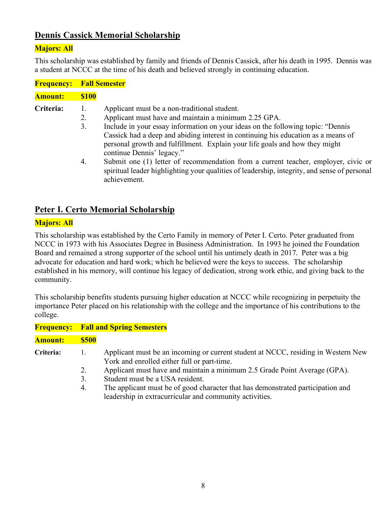# **Dennis Cassick Memorial Scholarship**

#### **Majors: All**

This scholarship was established by family and friends of Dennis Cassick, after his death in 1995. Dennis was a student at NCCC at the time of his death and believed strongly in continuing education.

| <b>Frequency: Fall Semester</b> |              |                                                                                              |
|---------------------------------|--------------|----------------------------------------------------------------------------------------------|
| Amount:                         | <b>\$100</b> |                                                                                              |
| <b>Criteria:</b>                | 1.           | Applicant must be a non-traditional student.                                                 |
|                                 | 2.           | Applicant must have and maintain a minimum 2.25 GPA.                                         |
|                                 | 3.           | Include in your essay information on your ideas on the following topic: "Dennis"             |
|                                 |              | Cassick had a deep and abiding interest in continuing his education as a means of            |
|                                 |              | personal growth and fulfillment. Explain your life goals and how they might                  |
|                                 |              | continue Dennis' legacy."                                                                    |
|                                 | 4.           | Submit one (1) letter of recommendation from a current teacher, employer, civic or           |
|                                 |              | spiritual leader highlighting your qualities of leadership, integrity, and sense of personal |
|                                 |              | achievement.                                                                                 |

## **Peter I. Certo Memorial Scholarship**

#### **Majors: All**

This scholarship was established by the Certo Family in memory of Peter I. Certo. Peter graduated from NCCC in 1973 with his Associates Degree in Business Administration. In 1993 he joined the Foundation Board and remained a strong supporter of the school until his untimely death in 2017. Peter was a big advocate for education and hard work; which he believed were the keys to success. The scholarship established in his memory, will continue his legacy of dedication, strong work ethic, and giving back to the community.

This scholarship benefits students pursuing higher education at NCCC while recognizing in perpetuity the importance Peter placed on his relationship with the college and the importance of his contributions to the college.

|                |                      | <b>Frequency: Fall and Spring Semesters</b>                                                                                                                                                                                                                                                                                                                                                    |
|----------------|----------------------|------------------------------------------------------------------------------------------------------------------------------------------------------------------------------------------------------------------------------------------------------------------------------------------------------------------------------------------------------------------------------------------------|
| <b>Amount:</b> | <b>\$500</b>         |                                                                                                                                                                                                                                                                                                                                                                                                |
| Criteria:      | 1.<br>2.<br>3.<br>4. | Applicant must be an incoming or current student at NCCC, residing in Western New<br>York and enrolled either full or part-time.<br>Applicant must have and maintain a minimum 2.5 Grade Point Average (GPA).<br>Student must be a USA resident.<br>The applicant must be of good character that has demonstrated participation and<br>leadership in extracurricular and community activities. |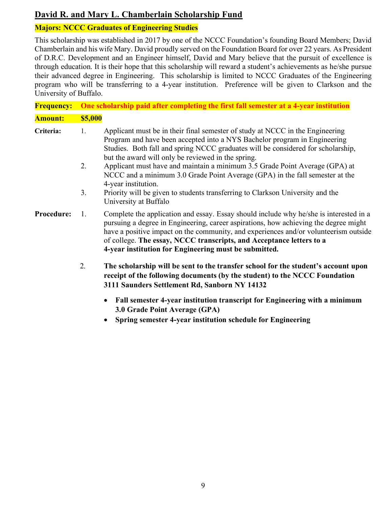# **David R. and Mary L. Chamberlain Scholarship Fund**

# **Majors: NCCC Graduates of Engineering Studies**

This scholarship was established in 2017 by one of the NCCC Foundation's founding Board Members; David Chamberlain and his wife Mary. David proudly served on the Foundation Board for over 22 years. As President of D.R.C. Development and an Engineer himself, David and Mary believe that the pursuit of excellence is through education. It is their hope that this scholarship will reward a student's achievements as he/she pursue their advanced degree in Engineering. This scholarship is limited to NCCC Graduates of the Engineering program who will be transferring to a 4-year institution. Preference will be given to Clarkson and the University of Buffalo.

| <b>Frequency:</b> | One scholarship paid after completing the first fall semester at a 4-year institution                                                                                                                                                                                                                                                                                                                                                                                                                                                                                                                      |  |
|-------------------|------------------------------------------------------------------------------------------------------------------------------------------------------------------------------------------------------------------------------------------------------------------------------------------------------------------------------------------------------------------------------------------------------------------------------------------------------------------------------------------------------------------------------------------------------------------------------------------------------------|--|
| <b>Amount:</b>    | <b>\$5,000</b>                                                                                                                                                                                                                                                                                                                                                                                                                                                                                                                                                                                             |  |
| Criteria:         | Applicant must be in their final semester of study at NCCC in the Engineering<br>1.<br>Program and have been accepted into a NYS Bachelor program in Engineering<br>Studies. Both fall and spring NCCC graduates will be considered for scholarship,<br>but the award will only be reviewed in the spring.<br>Applicant must have and maintain a minimum 3.5 Grade Point Average (GPA) at<br>2.<br>NCCC and a minimum 3.0 Grade Point Average (GPA) in the fall semester at the<br>4-year institution.<br>3 <sub>1</sub><br>Priority will be given to students transferring to Clarkson University and the |  |
|                   | University at Buffalo                                                                                                                                                                                                                                                                                                                                                                                                                                                                                                                                                                                      |  |
| Procedure:        | Complete the application and essay. Essay should include why he/she is interested in a<br>1.<br>pursuing a degree in Engineering, career aspirations, how achieving the degree might<br>have a positive impact on the community, and experiences and/or volunteerism outside<br>of college. The essay, NCCC transcripts, and Acceptance letters to a<br>4-year institution for Engineering must be submitted.                                                                                                                                                                                              |  |
|                   | 2.<br>The scholarship will be sent to the transfer school for the student's account upon<br>receipt of the following documents (by the student) to the NCCC Foundation<br>3111 Saunders Settlement Rd, Sanborn NY 14132                                                                                                                                                                                                                                                                                                                                                                                    |  |
|                   | Fall semester 4-year institution transcript for Engineering with a minimum<br>3.0 Grade Point Average (GPA)                                                                                                                                                                                                                                                                                                                                                                                                                                                                                                |  |

• **Spring semester 4-year institution schedule for Engineering**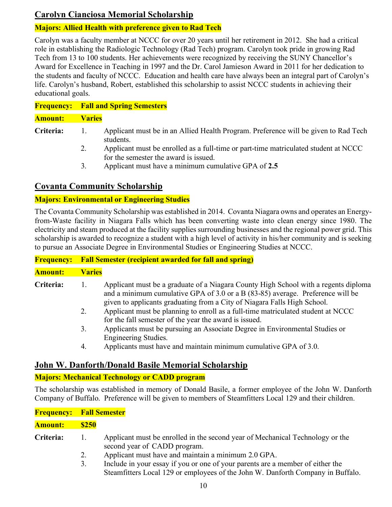# **Carolyn Cianciosa Memorial Scholarship**

#### **Majors: Allied Health with preference given to Rad Tech**

Carolyn was a faculty member at NCCC for over 20 years until her retirement in 2012. She had a critical role in establishing the Radiologic Technology (Rad Tech) program. Carolyn took pride in growing Rad Tech from 13 to 100 students. Her achievements were recognized by receiving the SUNY Chancellor's Award for Excellence in Teaching in 1997 and the Dr. Carol Jamieson Award in 2011 for her dedication to the students and faculty of NCCC. Education and health care have always been an integral part of Carolyn's life. Carolyn's husband, Robert, established this scholarship to assist NCCC students in achieving their educational goals.

# **Frequency: Fall and Spring Semesters**

#### **Amount: Varies**

- **Criteria:** 1. Applicant must be in an Allied Health Program. Preference will be given to Rad Tech students.
	- 2. Applicant must be enrolled as a full-time or part-time matriculated student at NCCC for the semester the award is issued.
	- 3. Applicant must have a minimum cumulative GPA of **2.5**

# **Covanta Community Scholarship**

#### **Majors: Environmental or Engineering Studies**

The Covanta Community Scholarship was established in 2014. Covanta Niagara owns and operates an Energyfrom-Waste facility in Niagara Falls which has been converting waste into clean energy since 1980. The electricity and steam produced at the facility supplies surrounding businesses and the regional power grid. This scholarship is awarded to recognize a student with a high level of activity in his/her community and is seeking to pursue an Associate Degree in Environmental Studies or Engineering Studies at NCCC.

| <b>Frequency:</b> | <b>Fall Semester (recipient awarded for fall and spring)</b>                                                                                                                                                                                                                                                                                  |  |  |
|-------------------|-----------------------------------------------------------------------------------------------------------------------------------------------------------------------------------------------------------------------------------------------------------------------------------------------------------------------------------------------|--|--|
| <b>Amount:</b>    | <b>Varies</b>                                                                                                                                                                                                                                                                                                                                 |  |  |
| Criteria:         | Applicant must be a graduate of a Niagara County High School with a regents diploma<br>and a minimum cumulative GPA of $3.0$ or a B (83-85) average. Preference will be<br>given to applicants graduating from a City of Niagara Falls High School.<br>Applicant must be planning to enroll as a full-time matriculated student at NCCC<br>2. |  |  |
|                   | for the fall semester of the year the award is issued.<br>Applicants must be pursuing an Associate Degree in Environmental Studies or<br>3.                                                                                                                                                                                                   |  |  |
|                   | Engineering Studies.<br>$\Lambda$ policents must have and maintain minimum eumulative CD $\Lambda$ of $2.0$                                                                                                                                                                                                                                   |  |  |

4. Applicants must have and maintain minimum cumulative GPA of 3.0.

# **John W. Danforth/Donald Basile Memorial Scholarship**

#### **Majors: Mechanical Technology or CADD program**

The scholarship was established in memory of Donald Basile, a former employee of the John W. Danforth Company of Buffalo. Preference will be given to members of Steamfitters Local 129 and their children.

|                | <b>Frequency: Fall Semester</b> |                                                                                                                                                                   |  |
|----------------|---------------------------------|-------------------------------------------------------------------------------------------------------------------------------------------------------------------|--|
| <b>Amount:</b> | <b>\$250</b>                    |                                                                                                                                                                   |  |
| Criteria:      | $\mathbf{L}$                    | Applicant must be enrolled in the second year of Mechanical Technology or the<br>second year of CADD program.                                                     |  |
|                | 2.                              | Applicant must have and maintain a minimum 2.0 GPA.                                                                                                               |  |
|                | 3.                              | Include in your essay if you or one of your parents are a member of either the<br>Steamfitters Local 129 or employees of the John W. Danforth Company in Buffalo. |  |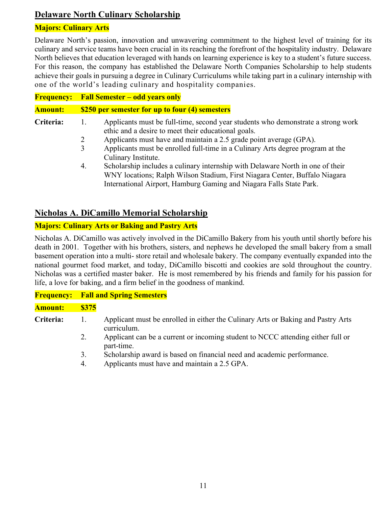# **Delaware North Culinary Scholarship**

#### **Majors: Culinary Arts**

Delaware North's passion, innovation and unwavering commitment to the highest level of training for its culinary and service teams have been crucial in its reaching the forefront of the hospitality industry. Delaware North believes that education leveraged with hands on learning experience is key to a student's future success. For this reason, the company has established the Delaware North Companies Scholarship to help students achieve their goals in pursuing a degree in Culinary Curriculums while taking part in a culinary internship with one of the world's leading culinary and hospitality companies.

| <b>Frequency:</b> | <b>Fall Semester – odd years only</b>                                                                                                                                                                                                                                                                                                                                                                                                                                                                                                                                               |
|-------------------|-------------------------------------------------------------------------------------------------------------------------------------------------------------------------------------------------------------------------------------------------------------------------------------------------------------------------------------------------------------------------------------------------------------------------------------------------------------------------------------------------------------------------------------------------------------------------------------|
| <b>Amount:</b>    | \$250 per semester for up to four (4) semesters                                                                                                                                                                                                                                                                                                                                                                                                                                                                                                                                     |
| Criteria:         | Applicants must be full-time, second year students who demonstrate a strong work<br>Ι.<br>ethic and a desire to meet their educational goals.<br>Applicants must have and maintain a 2.5 grade point average (GPA).<br>2<br>Applicants must be enrolled full-time in a Culinary Arts degree program at the<br>3<br>Culinary Institute.<br>Scholarship includes a culinary internship with Delaware North in one of their<br>4.<br>WNY locations; Ralph Wilson Stadium, First Niagara Center, Buffalo Niagara<br>International Airport, Hamburg Gaming and Niagara Falls State Park. |

# **Nicholas A. DiCamillo Memorial Scholarship**

#### **Majors: Culinary Arts or Baking and Pastry Arts**

Nicholas A. DiCamillo was actively involved in the DiCamillo Bakery from his youth until shortly before his death in 2001. Together with his brothers, sisters, and nephews he developed the small bakery from a small basement operation into a multi- store retail and wholesale bakery. The company eventually expanded into the national gourmet food market, and today, DiCamillo biscotti and cookies are sold throughout the country. Nicholas was a certified master baker. He is most remembered by his friends and family for his passion for life, a love for baking, and a firm belief in the goodness of mankind.

#### **Frequency: Fall and Spring Semesters**

#### **Amount: \$375**

**Criteria:** 1. Applicant must be enrolled in either the Culinary Arts or Baking and Pastry Arts curriculum.

- 2. Applicant can be a current or incoming student to NCCC attending either full or part-time.
- 3. Scholarship award is based on financial need and academic performance.
- 4. Applicants must have and maintain a 2.5 GPA.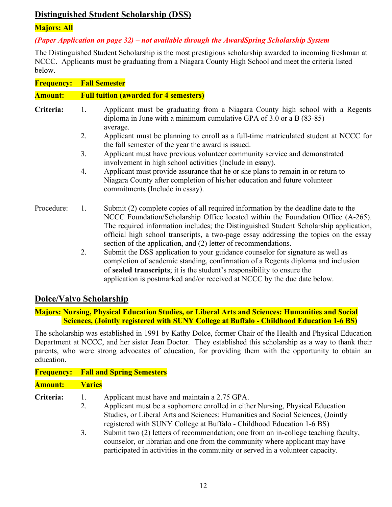# **Distinguished Student Scholarship (DSS)**

#### **Majors: All**

#### *(Paper Application on page 32) – not available through the AwardSpring Scholarship System*

The Distinguished Student Scholarship is the most prestigious scholarship awarded to incoming freshman at NCCC. Applicants must be graduating from a Niagara County High School and meet the criteria listed below.

| <b>Frequency:</b> | <b>Fall Semester</b> |
|-------------------|----------------------|
|                   |                      |

| <b>Full tuition (awarded for 4 semesters)</b><br><b>Amount:</b> |
|-----------------------------------------------------------------|
|-----------------------------------------------------------------|

- **Criteria:** 1. Applicant must be graduating from a Niagara County high school with a Regents diploma in June with a minimum cumulative GPA of 3.0 or a B (83-85) average.
	- 2. Applicant must be planning to enroll as a full-time matriculated student at NCCC for the fall semester of the year the award is issued.
	- 3. Applicant must have previous volunteer community service and demonstrated involvement in high school activities (Include in essay).
	- 4. Applicant must provide assurance that he or she plans to remain in or return to Niagara County after completion of his/her education and future volunteer commitments (Include in essay).
- Procedure: 1. Submit (2) complete copies of all required information by the deadline date to the NCCC Foundation/Scholarship Office located within the Foundation Office (A-265). The required information includes; the Distinguished Student Scholarship application, official high school transcripts, a two-page essay addressing the topics on the essay section of the application, and (2) letter of recommendations.
	- 2. Submit the DSS application to your guidance counselor for signature as well as completion of academic standing, confirmation of a Regents diploma and inclusion of **sealed transcripts**; it is the student's responsibility to ensure the application is postmarked and/or received at NCCC by the due date below.

# **Dolce/Valvo Scholarship**

#### **Majors: Nursing, Physical Education Studies, or Liberal Arts and Sciences: Humanities and Social Sciences, (Jointly registered with SUNY College at Buffalo - Childhood Education 1-6 BS)**

The scholarship was established in 1991 by Kathy Dolce, former Chair of the Health and Physical Education Department at NCCC, and her sister Jean Doctor. They established this scholarship as a way to thank their parents, who were strong advocates of education, for providing them with the opportunity to obtain an education.

| <b>Frequency:</b> Fall and Spring Semesters |               |                                                                                    |
|---------------------------------------------|---------------|------------------------------------------------------------------------------------|
| <b>Amount:</b>                              | <b>Varies</b> |                                                                                    |
| Criteria:                                   |               | Applicant must have and maintain a 2.75 GPA.                                       |
|                                             | 2.            | Applicant must be a sophomore enrolled in either Nursing, Physical Education       |
|                                             |               | Studies, or Liberal Arts and Sciences: Humanities and Social Sciences, (Jointly    |
|                                             |               | registered with SUNY College at Buffalo - Childhood Education 1-6 BS)              |
|                                             | 3.            | Submit two (2) letters of recommendation; one from an in-college teaching faculty, |
|                                             |               | counselor or librarian and one from the community where applicant may have         |

etor, or librarian and one from the community where applicant may have participated in activities in the community or served in a volunteer capacity.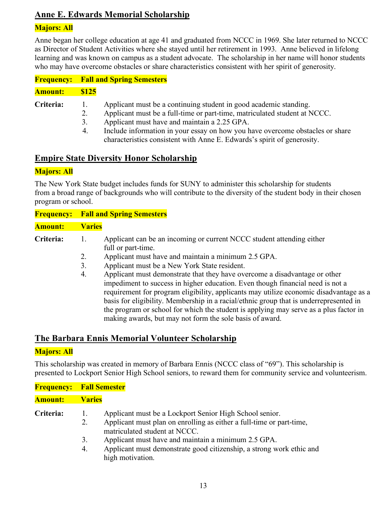# **Anne E. Edwards Memorial Scholarship**

#### **Majors: All**

Anne began her college education at age 41 and graduated from NCCC in 1969. She later returned to NCCC as Director of Student Activities where she stayed until her retirement in 1993. Anne believed in lifelong learning and was known on campus as a student advocate. The scholarship in her name will honor students who may have overcome obstacles or share characteristics consistent with her spirit of generosity.

| <b>Amount:</b> | \$125 |
|----------------|-------|
|----------------|-------|

- **Criteria:** 1. Applicant must be a continuing student in good academic standing.
	- 2. Applicant must be a full-time or part-time, matriculated student at NCCC.
	- 3. Applicant must have and maintain a 2.25 GPA.
	- 4. Include information in your essay on how you have overcome obstacles or share characteristics consistent with Anne E. Edwards's spirit of generosity.

# **Empire State Diversity Honor Scholarship**

#### **Majors: All**

The New York State budget includes funds for SUNY to administer this scholarship for students from a broad range of backgrounds who will contribute to the diversity of the student body in their chosen program or school.

|                |                      | <b>Frequency:</b> Fall and Spring Semesters                                                                                                                                                                                                                                                                                                                                                                                                                                                                                                                                                                                                     |
|----------------|----------------------|-------------------------------------------------------------------------------------------------------------------------------------------------------------------------------------------------------------------------------------------------------------------------------------------------------------------------------------------------------------------------------------------------------------------------------------------------------------------------------------------------------------------------------------------------------------------------------------------------------------------------------------------------|
| <b>Amount:</b> | <b>Varies</b>        |                                                                                                                                                                                                                                                                                                                                                                                                                                                                                                                                                                                                                                                 |
| Criteria:      | 1.<br>2.<br>3.<br>4. | Applicant can be an incoming or current NCCC student attending either<br>full or part-time.<br>Applicant must have and maintain a minimum 2.5 GPA.<br>Applicant must be a New York State resident.<br>Applicant must demonstrate that they have overcome a disadvantage or other<br>impediment to success in higher education. Even though financial need is not a<br>requirement for program eligibility, applicants may utilize economic disadvantage as a<br>basis for eligibility. Membership in a racial/ethnic group that is underrepresented in<br>the program or school for which the student is applying may serve as a plus factor in |
|                |                      | making awards, but may not form the sole basis of award.                                                                                                                                                                                                                                                                                                                                                                                                                                                                                                                                                                                        |

# **The Barbara Ennis Memorial Volunteer Scholarship**

#### **Majors: All**

This scholarship was created in memory of Barbara Ennis (NCCC class of "69"). This scholarship is presented to Lockport Senior High School seniors, to reward them for community service and volunteerism.

| <b>Frequency: Fall Semester</b> |                 |                                                                                                                                                                  |
|---------------------------------|-----------------|------------------------------------------------------------------------------------------------------------------------------------------------------------------|
| <b>Amount:</b>                  | <b>Varies</b>   |                                                                                                                                                                  |
| Criteria:                       | $\perp$ .<br>2. | Applicant must be a Lockport Senior High School senior.<br>Applicant must plan on enrolling as either a full-time or part-time,<br>matriculated student at NCCC. |
|                                 | 3.<br>4.        | Applicant must have and maintain a minimum 2.5 GPA.<br>Applicant must demonstrate good citizenship, a strong work ethic and                                      |
|                                 |                 | high motivation.                                                                                                                                                 |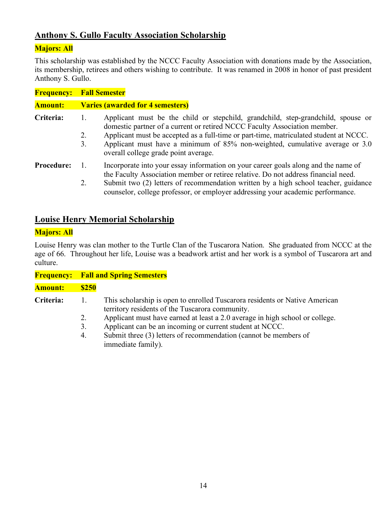# **Anthony S. Gullo Faculty Association Scholarship**

#### **Majors: All**

This scholarship was established by the NCCC Faculty Association with donations made by the Association, its membership, retirees and others wishing to contribute. It was renamed in 2008 in honor of past president Anthony S. Gullo.

| <b>Frequency:</b> | <b>Fall Semester</b>                                                                                                                                                                                                                                                                                                                                                                             |
|-------------------|--------------------------------------------------------------------------------------------------------------------------------------------------------------------------------------------------------------------------------------------------------------------------------------------------------------------------------------------------------------------------------------------------|
| <b>Amount:</b>    | <b>Varies (awarded for 4 semesters)</b>                                                                                                                                                                                                                                                                                                                                                          |
| Criteria:         | Applicant must be the child or stepchild, grandchild, step-grandchild, spouse or<br>1.<br>domestic partner of a current or retired NCCC Faculty Association member.<br>Applicant must be accepted as a full-time or part-time, matriculated student at NCCC.<br>2.<br>Applicant must have a minimum of 85% non-weighted, cumulative average or 3.0<br>3.<br>overall college grade point average. |
| <b>Procedure:</b> | Incorporate into your essay information on your career goals along and the name of<br>$\mathbf{1}$<br>the Faculty Association member or retiree relative. Do not address financial need.<br>Submit two (2) letters of recommendation written by a high school teacher, guidance<br>2.<br>counselor, college professor, or employer addressing your academic performance.                         |

# **Louise Henry Memorial Scholarship**

#### **Majors: All**

Louise Henry was clan mother to the Turtle Clan of the Tuscarora Nation. She graduated from NCCC at the age of 66. Throughout her life, Louise was a beadwork artist and her work is a symbol of Tuscarora art and culture.

| <b>Frequency:</b> |
|-------------------|
| <b>Amount:</b>    |
| Criteria:         |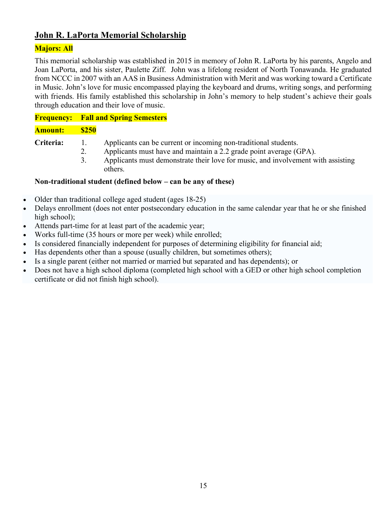# **John R. LaPorta Memorial Scholarship**

#### **Majors: All**

This memorial scholarship was established in 2015 in memory of John R. LaPorta by his parents, Angelo and Joan LaPorta, and his sister, Paulette Ziff. John was a lifelong resident of North Tonawanda. He graduated from NCCC in 2007 with an AAS in Business Administration with Merit and was working toward a Certificate in Music. John's love for music encompassed playing the keyboard and drums, writing songs, and performing with friends. His family established this scholarship in John's memory to help student's achieve their goals through education and their love of music.

## **Frequency: Fall and Spring Semesters**

#### **Amount: \$250**

- **Criteria:** 1. Applicants can be current or incoming non-traditional students.
	- 2. Applicants must have and maintain a 2.2 grade point average (GPA).
	- 3. Applicants must demonstrate their love for music, and involvement with assisting others.

#### **Non-traditional student (defined below – can be any of these)**

- Older than traditional college aged student (ages 18-25)
- Delays enrollment (does not enter postsecondary education in the same calendar year that he or she finished high school);
- Attends part-time for at least part of the academic year;
- Works full-time (35 hours or more per week) while enrolled;
- Is considered financially independent for purposes of determining eligibility for financial aid;
- Has dependents other than a spouse (usually children, but sometimes others);
- Is a single parent (either not married or married but separated and has dependents); or
- Does not have a high school diploma (completed high school with a GED or other high school completion certificate or did not finish high school).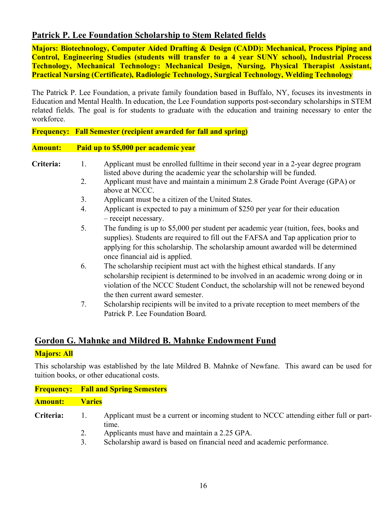# **Patrick P. Lee Foundation Scholarship to Stem Related fields**

**Majors: Biotechnology, Computer Aided Drafting & Design (CADD): Mechanical, Process Piping and Control, Engineering Studies (students will transfer to a 4 year SUNY school), Industrial Process Technology, Mechanical Technology: Mechanical Design, Nursing, Physical Therapist Assistant, Practical Nursing (Certificate), Radiologic Technology, Surgical Technology, Welding Technology**

The Patrick P. Lee Foundation, a private family foundation based in Buffalo, NY, focuses its investments in Education and Mental Health. In education, the Lee Foundation supports post-secondary scholarships in STEM related fields. The goal is for students to graduate with the education and training necessary to enter the workforce.

#### **Frequency: Fall Semester (recipient awarded for fall and spring)**

#### **Amount: Paid up to \$5,000 per academic year**

- 
- **Criteria:** 1.Applicant must be enrolled fulltime in their second year in a 2-year degree program listed above during the academic year the scholarship will be funded.
	- 2. Applicant must have and maintain a minimum 2.8 Grade Point Average (GPA) or above at NCCC.
	- 3. Applicant must be a citizen of the United States.
	- 4. Applicant is expected to pay a minimum of \$250 per year for their education – receipt necessary.
	- 5. The funding is up to \$5,000 per student per academic year (tuition, fees, books and supplies). Students are required to fill out the FAFSA and Tap application prior to applying for this scholarship. The scholarship amount awarded will be determined once financial aid is applied.
	- 6. The scholarship recipient must act with the highest ethical standards. If any scholarship recipient is determined to be involved in an academic wrong doing or in violation of the NCCC Student Conduct, the scholarship will not be renewed beyond the then current award semester.
	- 7. Scholarship recipients will be invited to a private reception to meet members of the Patrick P. Lee Foundation Board.

#### **Gordon G. Mahnke and Mildred B. Mahnke Endowment Fund**

#### **Majors: All**

This scholarship was established by the late Mildred B. Mahnke of Newfane. This award can be used for tuition books, or other educational costs.

|                  |                | <b>Frequency:</b> Fall and Spring Semesters                                                     |
|------------------|----------------|-------------------------------------------------------------------------------------------------|
| Amount:          | <b>Varies</b>  |                                                                                                 |
| <b>Criteria:</b> | $\mathbf{1}$ . | Applicant must be a current or incoming student to NCCC attending either full or part-<br>time. |
|                  |                | Applicants must have and maintain a 2.25 GPA.                                                   |

3. Scholarship award is based on financial need and academic performance.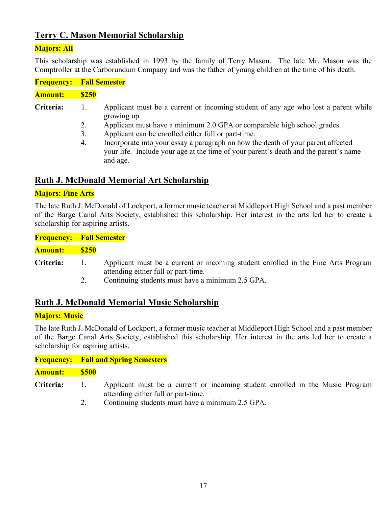# **Terry C. Mason Memorial Scholarship**

#### **Majors: All**

This scholarship was established in 1993 by the family of Terry Mason. The late Mr. Mason was the Comptroller at the Carborundum Company and was the father of young children at the time of his death.

|                      | <b>Frequency: Fall Semester</b> |  |
|----------------------|---------------------------------|--|
| <b>Amount:</b>       | <b>S250</b>                     |  |
| $\sim \cdot$ $\cdot$ | $\lambda$ 1 $\lambda$           |  |

- **Criteria:** 1. Applicant must be a current or incoming student of any age who lost a parent while growing up.
	- 2. Applicant must have a minimum 2.0 GPA or comparable high school grades.
	- 3. Applicant can be enrolled either full or part-time.
	- 4. Incorporate into your essay a paragraph on how the death of your parent affected your life. Include your age at the time of your parent's death and the parent's name and age.

#### **Ruth J. McDonald Memorial Art Scholarship**

#### **Majors: Fine Arts**

The late Ruth J. McDonald of Lockport, a former music teacher at Middleport High School and a past member of the Barge Canal Arts Society, established this scholarship. Her interest in the arts led her to create a scholarship for aspiring artists.

**Frequency: Fall Semester Amount: \$250**

- **Criteria:** 1. Applicant must be a current or incoming student enrolled in the Fine Arts Program attending either full or part-time.
	- 2. Continuing students must have a minimum 2.5 GPA.

# **Ruth J. McDonald Memorial Music Scholarship**

#### **Majors: Music**

The late Ruth J. McDonald of Lockport, a former music teacher at Middleport High School and a past member of the Barge Canal Arts Society, established this scholarship. Her interest in the arts led her to create a scholarship for aspiring artists.

|                |                | <b>Frequency:</b> Fall and Spring Semesters                                                                          |
|----------------|----------------|----------------------------------------------------------------------------------------------------------------------|
| <b>Amount:</b> | \$500          |                                                                                                                      |
| Criteria:      | $\mathbf{1}$ . | Applicant must be a current or incoming student enrolled in the Music Program<br>attending either full or part-time. |
|                | 2.             | Continuing students must have a minimum 2.5 GPA.                                                                     |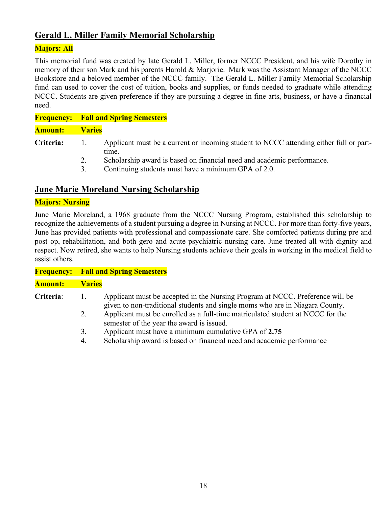# **Gerald L. Miller Family Memorial Scholarship**

#### **Majors: All**

This memorial fund was created by late Gerald L. Miller, former NCCC President, and his wife Dorothy in memory of their son Mark and his parents Harold & Marjorie. Mark was the Assistant Manager of the NCCC Bookstore and a beloved member of the NCCC family. The Gerald L. Miller Family Memorial Scholarship fund can used to cover the cost of tuition, books and supplies, or funds needed to graduate while attending NCCC. Students are given preference if they are pursuing a degree in fine arts, business, or have a financial need.

|                |               | <b>Frequency:</b> Fall and Spring Semesters                                                     |
|----------------|---------------|-------------------------------------------------------------------------------------------------|
| <b>Amount:</b> | <b>Varies</b> |                                                                                                 |
| Criteria:      |               | Applicant must be a current or incoming student to NCCC attending either full or part-<br>time. |
|                | 2.            | Scholarship award is based on financial need and academic performance.                          |
|                | 3.            | Continuing students must have a minimum GPA of 2.0.                                             |

# **June Marie Moreland Nursing Scholarship**

#### **Majors: Nursing**

June Marie Moreland, a 1968 graduate from the NCCC Nursing Program, established this scholarship to recognize the achievements of a student pursuing a degree in Nursing at NCCC. For more than forty-five years, June has provided patients with professional and compassionate care. She comforted patients during pre and post op, rehabilitation, and both gero and acute psychiatric nursing care. June treated all with dignity and respect. Now retired, she wants to help Nursing students achieve their goals in working in the medical field to assist others.

|                | <b>Frequency: Fall and Spring Semesters</b>                                                                     |  |  |  |
|----------------|-----------------------------------------------------------------------------------------------------------------|--|--|--|
| assist others. |                                                                                                                 |  |  |  |
|                | respect. Now retired, she wants to help Nursing students achieve their goals in working in the medical field to |  |  |  |
|                | post op, renavimation, and both gero and actile psychiatric nursing care. June treated an with digility and     |  |  |  |

| <b>Amount: Varies</b> |                                                   |
|-----------------------|---------------------------------------------------|
| Criteria:             | Applicant must be accepted in the Nursing Program |

- **peram at NCCC. Preference will be** given to non-traditional students and single moms who are in Niagara County. 2. Applicant must be enrolled as a full-time matriculated student at NCCC for the
- semester of the year the award is issued.
- 3. Applicant must have a minimum cumulative GPA of **2.75**
- 4. Scholarship award is based on financial need and academic performance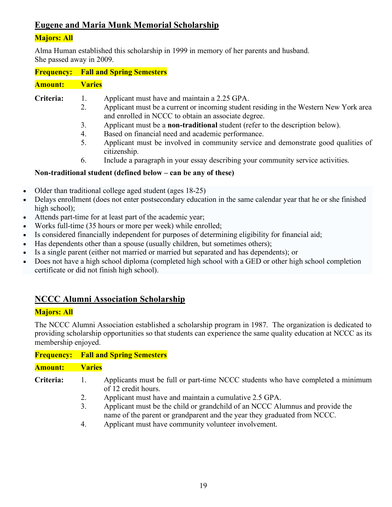# **Eugene and Maria Munk Memorial Scholarship**

#### **Majors: All**

Alma Human established this scholarship in 1999 in memory of her parents and husband. She passed away in 2009.

**Frequency: Fall and Spring Semesters**

**Amount: Varies**

- **Criteria:** 1. Applicant must have and maintain a 2.25 GPA.
	- 2. Applicant must be a current or incoming student residing in the Western New York area and enrolled in NCCC to obtain an associate degree.
	- 3. Applicant must be a **non-traditional** student (refer to the description below).
	- 4. Based on financial need and academic performance.
	- 5. Applicant must be involved in community service and demonstrate good qualities of citizenship.
	- 6. Include a paragraph in your essay describing your community service activities.

#### **Non-traditional student (defined below – can be any of these)**

- Older than traditional college aged student (ages 18-25)
- Delays enrollment (does not enter postsecondary education in the same calendar year that he or she finished high school);
- Attends part-time for at least part of the academic year;
- Works full-time (35 hours or more per week) while enrolled:
- Is considered financially independent for purposes of determining eligibility for financial aid;
- Has dependents other than a spouse (usually children, but sometimes others);
- Is a single parent (either not married or married but separated and has dependents); or
- Does not have a high school diploma (completed high school with a GED or other high school completion certificate or did not finish high school).

# **NCCC Alumni Association Scholarship**

# **Majors: All**

The NCCC Alumni Association established a scholarship program in 1987. The organization is dedicated to providing scholarship opportunities so that students can experience the same quality education at NCCC as its membership enjoyed.

|                |                | <b>Frequency:</b> Fall and Spring Semesters                                                                                                              |
|----------------|----------------|----------------------------------------------------------------------------------------------------------------------------------------------------------|
| <b>Amount:</b> | <b>Varies</b>  |                                                                                                                                                          |
| Criteria:      | $\mathbf{I}$ . | Applicants must be full or part-time NCCC students who have completed a minimum<br>of 12 credit hours.                                                   |
|                | 2.             | Applicant must have and maintain a cumulative 2.5 GPA.                                                                                                   |
|                | 3.             | Applicant must be the child or grandchild of an NCCC Alumnus and provide the<br>name of the parent or grandparent and the year they graduated from NCCC. |

4. Applicant must have community volunteer involvement.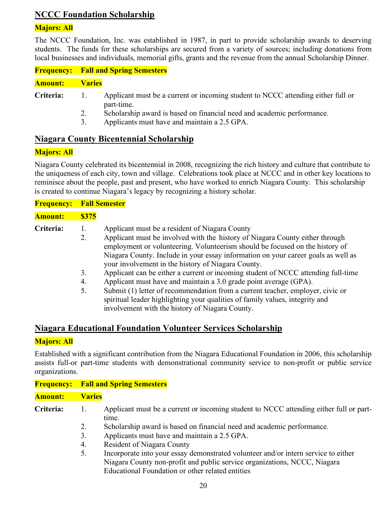# **NCCC Foundation Scholarship**

#### **Majors: All**

The NCCC Foundation, Inc. was established in 1987, in part to provide scholarship awards to deserving students. The funds for these scholarships are secured from a variety of sources; including donations from local businesses and individuals, memorial gifts, grants and the revenue from the annual Scholarship Dinner.

|                |               | <b>Frequency:</b> Fall and Spring Semesters                                                    |
|----------------|---------------|------------------------------------------------------------------------------------------------|
| <b>Amount:</b> | <b>Varies</b> |                                                                                                |
| Criteria:      | $\pm 1.$      | Applicant must be a current or incoming student to NCCC attending either full or<br>part-time. |
|                |               | Scholarship award is based on financial need and academic performance.                         |

3. Applicants must have and maintain a 2.5 GPA.

#### **Niagara County Bicentennial Scholarship**

#### **Majors: All**

Niagara County celebrated its bicentennial in 2008, recognizing the rich history and culture that contribute to the uniqueness of each city, town and village. Celebrations took place at NCCC and in other key locations to reminisce about the people, past and present, who have worked to enrich Niagara County. This scholarship is created to continue Niagara's legacy by recognizing a history scholar.

| <b>Frequency:</b> | <b>Fall Semester</b> |
|-------------------|----------------------|
|-------------------|----------------------|

| <b>Amount:</b> | <b>\$375</b> |
|----------------|--------------|
|----------------|--------------|

**Criteria:** 1. Applicant must be a resident of Niagara County

- 2. Applicant must be involved with the history of Niagara County either through employment or volunteering. Volunteerism should be focused on the history of Niagara County. Include in your essay information on your career goals as well as your involvement in the history of Niagara County.
- 3. Applicant can be either a current or incoming student of NCCC attending full-time
- 4. Applicant must have and maintain a 3.0 grade point average (GPA).
- 5. Submit (1) letter of recommendation from a current teacher, employer, civic or spiritual leader highlighting your qualities of family values, integrity and involvement with the history of Niagara County.

#### **Niagara Educational Foundation Volunteer Services Scholarship**

#### **Majors: All**

Established with a significant contribution from the Niagara Educational Foundation in 2006, this scholarship assists full-or part-time students with demonstrational community service to non-profit or public service organizations.

|                |                | <b>Frequency:</b> Fall and Spring Semesters                                                                                                                                                                         |
|----------------|----------------|---------------------------------------------------------------------------------------------------------------------------------------------------------------------------------------------------------------------|
| <b>Amount:</b> | <b>Varies</b>  |                                                                                                                                                                                                                     |
| Criteria:      | $\mathbf{1}$ . | Applicant must be a current or incoming student to NCCC attending either full or part-<br>time.                                                                                                                     |
|                | 2.             | Scholarship award is based on financial need and academic performance.                                                                                                                                              |
|                | 3.             | Applicants must have and maintain a 2.5 GPA.                                                                                                                                                                        |
|                | 4.             | <b>Resident of Niagara County</b>                                                                                                                                                                                   |
|                | 5.             | Incorporate into your essay demonstrated volunteer and/or intern service to either<br>Niagara County non-profit and public service organizations, NCCC, Niagara<br>Educational Foundation or other related entities |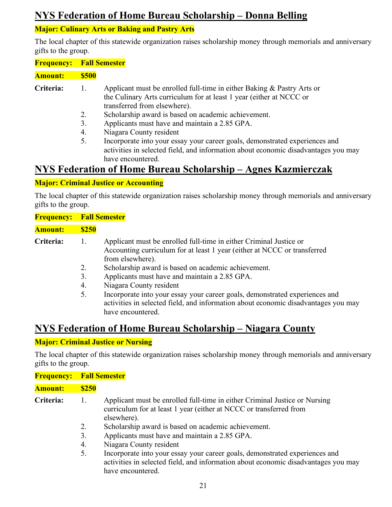# **NYS Federation of Home Bureau Scholarship – Donna Belling**

# **Major: Culinary Arts or Baking and Pastry Arts**

The local chapter of this statewide organization raises scholarship money through memorials and anniversary gifts to the group.

| <b>Frequency: Fall Semester</b> |              |                                                                                                                                                                                  |
|---------------------------------|--------------|----------------------------------------------------------------------------------------------------------------------------------------------------------------------------------|
| Amount:                         | <b>\$500</b> |                                                                                                                                                                                  |
| Criteria:                       | Ι.           | Applicant must be enrolled full-time in either Baking $\&$ Pastry Arts or<br>the Culinary Arts curriculum for at least 1 year (either at NCCC or<br>transferred from elsewhere). |
|                                 | 2.           | Scholarship award is based on academic achievement.                                                                                                                              |
|                                 | 3.           | Applicants must have and maintain a 2.85 GPA.                                                                                                                                    |
|                                 | 4.           | Niagara County resident                                                                                                                                                          |

5. Incorporate into your essay your career goals, demonstrated experiences and activities in selected field, and information about economic disadvantages you may have encountered.

# **NYS Federation of Home Bureau Scholarship – Agnes Kazmierczak**

#### **Major: Criminal Justice or Accounting**

The local chapter of this statewide organization raises scholarship money through memorials and anniversary gifts to the group.

| <b>Frequency: Fall Semester</b> |                            |                                                                                                                                                                                                                                                                                                                                                                                                                                                                                                 |
|---------------------------------|----------------------------|-------------------------------------------------------------------------------------------------------------------------------------------------------------------------------------------------------------------------------------------------------------------------------------------------------------------------------------------------------------------------------------------------------------------------------------------------------------------------------------------------|
| <b>Amount:</b>                  | <b>\$250</b>               |                                                                                                                                                                                                                                                                                                                                                                                                                                                                                                 |
| Criteria:                       | 1.<br>2.<br>3.<br>4.<br>5. | Applicant must be enrolled full-time in either Criminal Justice or<br>Accounting curriculum for at least 1 year (either at NCCC or transferred<br>from elsewhere).<br>Scholarship award is based on academic achievement.<br>Applicants must have and maintain a 2.85 GPA.<br>Niagara County resident<br>Incorporate into your essay your career goals, demonstrated experiences and<br>activities in selected field, and information about economic disadvantages you may<br>have encountered. |

# **NYS Federation of Home Bureau Scholarship – Niagara County**

#### **Major: Criminal Justice or Nursing**

The local chapter of this statewide organization raises scholarship money through memorials and anniversary gifts to the group.

| <b>Frequency:</b> | <b>Fall Semester</b>       |                                                                                                                                                                                                                                                                                                                                                                                                                                                                         |  |  |
|-------------------|----------------------------|-------------------------------------------------------------------------------------------------------------------------------------------------------------------------------------------------------------------------------------------------------------------------------------------------------------------------------------------------------------------------------------------------------------------------------------------------------------------------|--|--|
| <b>Amount:</b>    | <b>\$250</b>               |                                                                                                                                                                                                                                                                                                                                                                                                                                                                         |  |  |
| Criteria:         | 1.<br>2.<br>3.<br>4.<br>5. | Applicant must be enrolled full-time in either Criminal Justice or Nursing<br>curriculum for at least 1 year (either at NCCC or transferred from<br>elsewhere).<br>Scholarship award is based on academic achievement.<br>Applicants must have and maintain a 2.85 GPA.<br>Niagara County resident<br>Incorporate into your essay your career goals, demonstrated experiences and<br>activities in selected field, and information about economic disadvantages you may |  |  |
|                   |                            | have encountered.                                                                                                                                                                                                                                                                                                                                                                                                                                                       |  |  |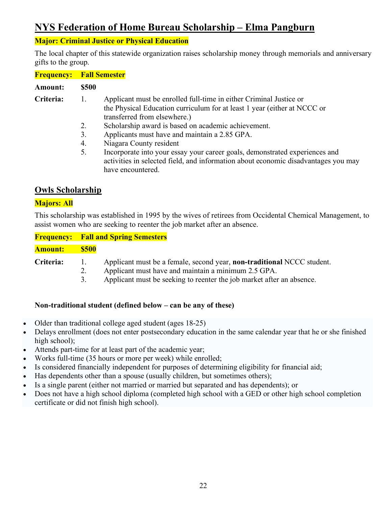# **NYS Federation of Home Bureau Scholarship – Elma Pangburn**

#### **Major: Criminal Justice or Physical Education**

The local chapter of this statewide organization raises scholarship money through memorials and anniversary gifts to the group.

| <b>Frequency: Fall Semester</b> |                            |                                                                                                                                                                                                                                                                                                                                                                                                                                                                                        |
|---------------------------------|----------------------------|----------------------------------------------------------------------------------------------------------------------------------------------------------------------------------------------------------------------------------------------------------------------------------------------------------------------------------------------------------------------------------------------------------------------------------------------------------------------------------------|
| <b>Amount:</b>                  | \$500                      |                                                                                                                                                                                                                                                                                                                                                                                                                                                                                        |
| <b>Criteria:</b>                | 1.<br>2.<br>3.<br>4.<br>5. | Applicant must be enrolled full-time in either Criminal Justice or<br>the Physical Education curriculum for at least 1 year (either at NCCC or<br>transferred from elsewhere.)<br>Scholarship award is based on academic achievement.<br>Applicants must have and maintain a 2.85 GPA.<br>Niagara County resident<br>Incorporate into your essay your career goals, demonstrated experiences and<br>activities in selected field, and information about economic disadvantages you may |
|                                 |                            | have encountered.                                                                                                                                                                                                                                                                                                                                                                                                                                                                      |

#### **Owls Scholarship**

#### **Majors: All**

This scholarship was established in 1995 by the wives of retirees from Occidental Chemical Management, to assist women who are seeking to reenter the job market after an absence.

| <b>Frequency:</b> Fall and Spring Semesters |
|---------------------------------------------|
| <b>Amount:</b>                              |
| Criteria:                                   |

#### **Non-traditional student (defined below – can be any of these)**

- Older than traditional college aged student (ages 18-25)
- Delays enrollment (does not enter postsecondary education in the same calendar year that he or she finished high school);
- Attends part-time for at least part of the academic year;
- Works full-time (35 hours or more per week) while enrolled;
- Is considered financially independent for purposes of determining eligibility for financial aid;
- Has dependents other than a spouse (usually children, but sometimes others);
- Is a single parent (either not married or married but separated and has dependents); or
- Does not have a high school diploma (completed high school with a GED or other high school completion certificate or did not finish high school).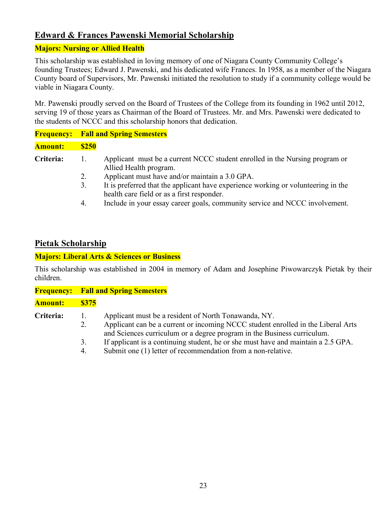# **Edward & Frances Pawenski Memorial Scholarship**

#### **Majors: Nursing or Allied Health**

This scholarship was established in loving memory of one of Niagara County Community College's founding Trustees; Edward J. Pawenski, and his dedicated wife Frances. In 1958, as a member of the Niagara County board of Supervisors, Mr. Pawenski initiated the resolution to study if a community college would be viable in Niagara County.

Mr. Pawenski proudly served on the Board of Trustees of the College from its founding in 1962 until 2012, serving 19 of those years as Chairman of the Board of Trustees. Mr. and Mrs. Pawenski were dedicated to the students of NCCC and this scholarship honors that dedication.

|                |              | <b>Frequency:</b> Fall and Spring Semesters                                                                                     |
|----------------|--------------|---------------------------------------------------------------------------------------------------------------------------------|
| <b>Amount:</b> | <b>\$250</b> |                                                                                                                                 |
| Criteria:      |              | Applicant must be a current NCCC student enrolled in the Nursing program or<br>Allied Health program.                           |
|                | 2.           | Applicant must have and/or maintain a 3.0 GPA.                                                                                  |
|                | 3.           | It is preferred that the applicant have experience working or volunteering in the<br>health care field or as a first responder. |
|                |              | Include in your essay career goals, community service and NCCC involvement                                                      |

#### 4. Include in your essay career goals, community service and NCCC involvement.

## **Pietak Scholarship**

#### **Majors: Liberal Arts & Sciences or Business**

This scholarship was established in 2004 in memory of Adam and Josephine Piwowarczyk Pietak by their children.

|                | <b>Frequency:</b> Fall and Spring Semesters |                                                                                                                                                                                                                                                                                                                                                                          |  |  |
|----------------|---------------------------------------------|--------------------------------------------------------------------------------------------------------------------------------------------------------------------------------------------------------------------------------------------------------------------------------------------------------------------------------------------------------------------------|--|--|
| <b>Amount:</b> | <b>\$375</b>                                |                                                                                                                                                                                                                                                                                                                                                                          |  |  |
| Criteria:      | Ι.<br>2.<br>3.<br>4.                        | Applicant must be a resident of North Tonawanda, NY.<br>Applicant can be a current or incoming NCCC student enrolled in the Liberal Arts<br>and Sciences curriculum or a degree program in the Business curriculum.<br>If applicant is a continuing student, he or she must have and maintain a 2.5 GPA.<br>Submit one (1) letter of recommendation from a non-relative. |  |  |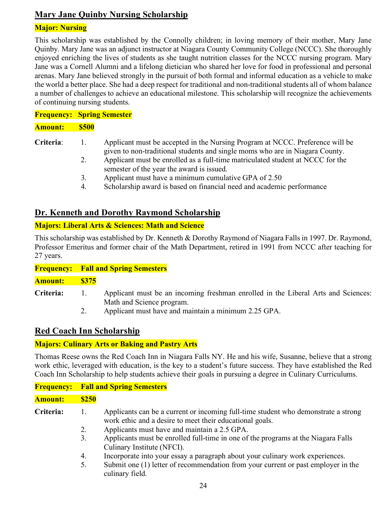# **Mary Jane Quinby Nursing Scholarship**

#### **Major: Nursing**

This scholarship was established by the Connolly children; in loving memory of their mother, Mary Jane Quinby. Mary Jane was an adjunct instructor at Niagara County Community College (NCCC). She thoroughly enjoyed enriching the lives of students as she taught nutrition classes for the NCCC nursing program. Mary Jane was a Cornell Alumni and a lifelong dietician who shared her love for food in professional and personal arenas. Mary Jane believed strongly in the pursuit of both formal and informal education as a vehicle to make the world a better place. She had a deep respect for traditional and non-traditional students all of whom balance a number of challenges to achieve an educational milestone. This scholarship will recognize the achievements of continuing nursing students.

**Frequency: Spring Semester Amount: \$500**

**Criteria**: 1. Applicant must be accepted in the Nursing Program at NCCC. Preference will be given to non-traditional students and single moms who are in Niagara County.

- 2. Applicant must be enrolled as a full-time matriculated student at NCCC for the semester of the year the award is issued.
- 3. Applicant must have a minimum cumulative GPA of 2.50
- 4. Scholarship award is based on financial need and academic performance

# **Dr. Kenneth and Dorothy Raymond Scholarship**

#### **Majors: Liberal Arts & Sciences: Math and Science**

This scholarship was established by Dr. Kenneth & Dorothy Raymond of Niagara Falls in 1997. Dr. Raymond, Professor Emeritus and former chair of the Math Department, retired in 1991 from NCCC after teaching for 27 years.

#### **Frequency: Fall and Spring Semesters**

**Amount: \$375**

- **Criteria:** 1. Applicant must be an incoming freshman enrolled in the Liberal Arts and Sciences: Math and Science program.
	- 2. Applicant must have and maintain a minimum 2.25 GPA.

#### **Red Coach Inn Scholarship**

#### **Majors: Culinary Arts or Baking and Pastry Arts**

Thomas Reese owns the Red Coach Inn in Niagara Falls NY. He and his wife, Susanne, believe that a strong work ethic, leveraged with education, is the key to a student's future success. They have established the Red Coach Inn Scholarship to help students achieve their goals in pursuing a degree in Culinary Curriculums.

|                |              | <b>Frequency:</b> Fall and Spring Semesters                                                                                                    |
|----------------|--------------|------------------------------------------------------------------------------------------------------------------------------------------------|
| <b>Amount:</b> | <b>\$250</b> |                                                                                                                                                |
| Criteria:      | Ι.           | Applicants can be a current or incoming full-time student who demonstrate a strong<br>work ethic and a desire to meet their educational goals. |
|                | 2.           | Applicants must have and maintain a 2.5 GPA.                                                                                                   |
|                | 3.           | Applicants must be enrolled full-time in one of the programs at the Niagara Falls<br>Culinary Institute (NFCI).                                |
|                | 4.           | Incorporate into your essay a paragraph about your culinary work experiences.                                                                  |
|                | 5.           | Submit one (1) letter of recommendation from your current or past employer in the<br>culinary field.                                           |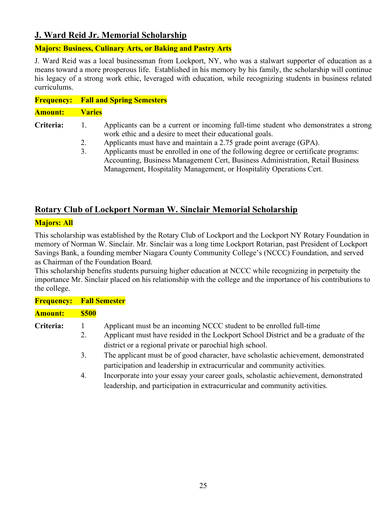# **J. Ward Reid Jr. Memorial Scholarship**

#### **Majors: Business, Culinary Arts, or Baking and Pastry Arts**

J. Ward Reid was a local businessman from Lockport, NY, who was a stalwart supporter of education as a means toward a more prosperous life. Established in his memory by his family, the scholarship will continue his legacy of a strong work ethic, leveraged with education, while recognizing students in business related curriculums.

|                |               | <b>Frequency:</b> Fall and Spring Semesters                                                                                                     |
|----------------|---------------|-------------------------------------------------------------------------------------------------------------------------------------------------|
| <b>Amount:</b> | <b>Varies</b> |                                                                                                                                                 |
| Criteria:      |               | Applicants can be a current or incoming full-time student who demonstrates a strong<br>work ethic and a desire to meet their educational goals. |
|                | 2.            | Applicants must have and maintain a 2.75 grade point average (GPA).                                                                             |
|                | 3.            | Applicants must be enrolled in one of the following degree or certificate programs:                                                             |
|                |               | Accounting, Business Management Cert, Business Administration, Retail Business                                                                  |
|                |               | Management, Hospitality Management, or Hospitality Operations Cert.                                                                             |

# **Rotary Club of Lockport Norman W. Sinclair Memorial Scholarship**

#### **Majors: All**

This scholarship was established by the Rotary Club of Lockport and the Lockport NY Rotary Foundation in memory of Norman W. Sinclair. Mr. Sinclair was a long time Lockport Rotarian, past President of Lockport Savings Bank, a founding member Niagara County Community College's (NCCC) Foundation, and served as Chairman of the Foundation Board.

This scholarship benefits students pursuing higher education at NCCC while recognizing in perpetuity the importance Mr. Sinclair placed on his relationship with the college and the importance of his contributions to the college.

| <b>Frequency:</b> Fall Semester |              |                                                                                                                                                                   |
|---------------------------------|--------------|-------------------------------------------------------------------------------------------------------------------------------------------------------------------|
| <b>Amount:</b>                  | <b>\$500</b> |                                                                                                                                                                   |
| Criteria:                       |              | Applicant must be an incoming NCCC student to be enrolled full-time                                                                                               |
|                                 | 2.           | Applicant must have resided in the Lockport School District and be a graduate of the<br>district or a regional private or parochial high school.                  |
|                                 | 3.           | The applicant must be of good character, have scholastic achievement, demonstrated<br>participation and leadership in extracurricular and community activities.   |
|                                 | 4.           | Incorporate into your essay your career goals, scholastic achievement, demonstrated<br>leadership, and participation in extracurricular and community activities. |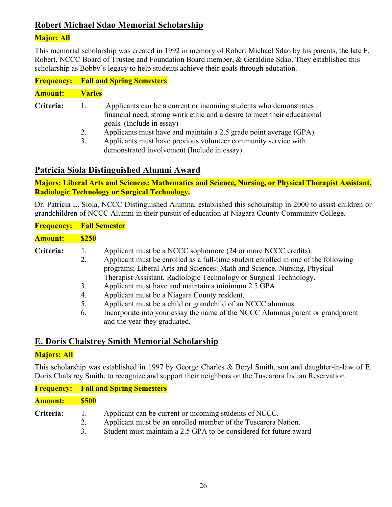# **Robert Michael Sdao Memorial Scholarship**

#### **Major: All**

This memorial scholarship was created in 1992 in memory of Robert Michael Sdao by his parents, the late F. Robert, NCCC Board of Trustee and Foundation Board member, & Geraldine Sdao. They established this scholarship as Bobby's legacy to help students achieve their goals through education.

|                | <b>Frequency:</b> Fall and Spring Semesters                                                                                                                                                                                                                                                                                                                                          |  |  |
|----------------|--------------------------------------------------------------------------------------------------------------------------------------------------------------------------------------------------------------------------------------------------------------------------------------------------------------------------------------------------------------------------------------|--|--|
| <b>Amount:</b> | <b>Varies</b>                                                                                                                                                                                                                                                                                                                                                                        |  |  |
| Criteria:      | Applicants can be a current or incoming students who demonstrates<br>1.<br>financial need, strong work ethic and a desire to meet their educational<br>goals. (Include in essay)<br>Applicants must have and maintain a 2.5 grade point average (GPA).<br>2.<br>Applicants must have previous volunteer community service with<br>3.<br>demonstrated involvement (Include in essay). |  |  |

# **Patricia Siola Distinguished Alumni Award**

**Majors: Liberal Arts and Sciences: Mathematics and Science, Nursing, or Physical Therapist Assistant, Radiologic Technology or Surgical Technology.**

Dr. Patricia L. Siola, NCCC Distinguished Alumna, established this scholarship in 2000 to assist children or grandchildren of NCCC Alumni in their pursuit of education at Niagara County Community College.

| <b>Frequency:</b> |                            | <b>Fall Semester</b>                                                                                                                                                                                                                                                                                                                                                                                                                                                                                                                                                                          |
|-------------------|----------------------------|-----------------------------------------------------------------------------------------------------------------------------------------------------------------------------------------------------------------------------------------------------------------------------------------------------------------------------------------------------------------------------------------------------------------------------------------------------------------------------------------------------------------------------------------------------------------------------------------------|
| <b>Amount:</b>    | <b>\$250</b>               |                                                                                                                                                                                                                                                                                                                                                                                                                                                                                                                                                                                               |
| Criteria:         | 2.<br>3.<br>4.<br>5.<br>6. | Applicant must be a NCCC sophomore (24 or more NCCC credits).<br>Applicant must be enrolled as a full-time student enrolled in one of the following<br>programs; Liberal Arts and Sciences: Math and Science, Nursing, Physical<br>Therapist Assistant, Radiologic Technology or Surgical Technology.<br>Applicant must have and maintain a minimum 2.5 GPA.<br>Applicant must be a Niagara County resident.<br>Applicant must be a child or grandchild of an NCCC alumnus.<br>Incorporate into your essay the name of the NCCC Alumnus parent or grandparent<br>and the year they graduated. |

# **E. Doris Chalstrey Smith Memorial Scholarship**

#### **Majors: All**

This scholarship was established in 1997 by George Charles & Beryl Smith, son and daughter-in-law of E. Doris Chalstrey Smith, to recognize and support their neighbors on the Tuscarora Indian Reservation.

#### **Frequency: Fall and Spring Semesters**

#### **Amount: \$500**

- **Criteria:** 1. Applicant can be current or incoming students of NCCC.
	- 2. Applicant must be an enrolled member of the Tuscarora Nation.
	- 3. Student must maintain a 2.5 GPA to be considered for future award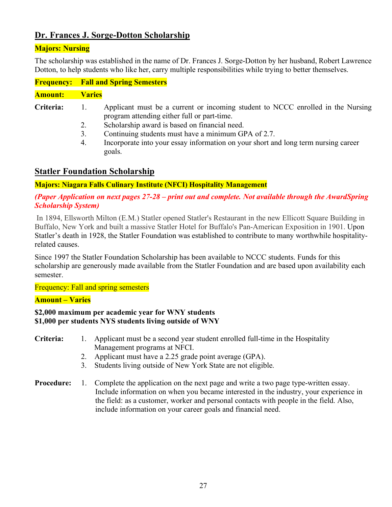# **Dr. Frances J. Sorge-Dotton Scholarship**

#### **Majors: Nursing**

The scholarship was established in the name of Dr. Frances J. Sorge-Dotton by her husband, Robert Lawrence Dotton, to help students who like her, carry multiple responsibilities while trying to better themselves.

|                |               | <b>Frequency:</b> Fall and Spring Semesters                                                                                    |
|----------------|---------------|--------------------------------------------------------------------------------------------------------------------------------|
| <b>Amount:</b> | <b>Varies</b> |                                                                                                                                |
| Criteria:      |               | Applicant must be a current or incoming student to NCCC enrolled in the Nursing<br>program attending either full or part-time. |
|                | 2.            | Scholarship award is based on financial need.                                                                                  |
|                | 3.            | Continuing students must have a minimum GPA of 2.7.                                                                            |

4. Incorporate into your essay information on your short and long term nursing career goals.

#### **Statler Foundation Scholarship**

#### **Majors: Niagara Falls Culinary Institute (NFCI) Hospitality Management**

#### *(Paper Application on next pages 27-28 – print out and complete. Not available through the AwardSpring Scholarship System)*

In 1894, Ellsworth Milton (E.M.) Statler opened Statler's Restaurant in the new Ellicott Square Building in Buffalo, New York and built a massive Statler Hotel for Buffalo's Pan-American Exposition in 1901. Upon Statler's death in 1928, the Statler Foundation was established to contribute to many worthwhile hospitalityrelated causes.

Since 1997 the Statler Foundation Scholarship has been available to NCCC students. Funds for this scholarship are generously made available from the Statler Foundation and are based upon availability each semester.

Frequency: Fall and spring semesters

#### **Amount – Varies**

#### **\$2,000 maximum per academic year for WNY students \$1,000 per students NYS students living outside of WNY**

#### **Criteria:** 1. Applicant must be a second year student enrolled full-time in the Hospitality Management programs at NFCI.

- 2. Applicant must have a 2.25 grade point average (GPA).
- 3. Students living outside of New York State are not eligible.
- **Procedure:** 1. Complete the application on the next page and write a two page type-written essay. Include information on when you became interested in the industry, your experience in the field: as a customer, worker and personal contacts with people in the field. Also, include information on your career goals and financial need.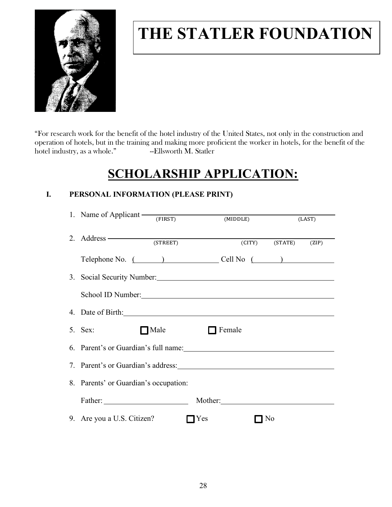

# **THE STATLER FOUNDATION**

"For research work for the benefit of the hotel industry of the United States, not only in the construction and operation of hotels, but in the training and making more proficient the worker in hotels, for the benefit of the hotel industry, as a whole." ---Ellsworth M. Statler

# **SCHOLARSHIP APPLICATION:**

## **I. PERSONAL INFORMATION (PLEASE PRINT)**

| 1. Name of Applicant $\frac{1}{\text{FIRST}}$                                                                                                                                                                                  |           | (MIDDLE)           |           |                      | (LAST) |  |
|--------------------------------------------------------------------------------------------------------------------------------------------------------------------------------------------------------------------------------|-----------|--------------------|-----------|----------------------|--------|--|
| 2. Address <u>(STREET</u> )                                                                                                                                                                                                    |           |                    |           | (CITY) (STATE) (ZIP) |        |  |
| Telephone No. ( ) Cell No ( )                                                                                                                                                                                                  |           |                    |           |                      |        |  |
| 3. Social Security Number: 1988 and 1988 and 1988 and 1988 and 1988 and 1988 and 1988 and 1988 and 1988 and 19                                                                                                                 |           |                    |           |                      |        |  |
| School ID Number: New York Channels and School ID Number:                                                                                                                                                                      |           |                    |           |                      |        |  |
| 4. Date of Birth: 2008 and 2008 and 2008 and 2008 and 2008 and 2008 and 2008 and 2008 and 2008 and 2008 and 2008 and 2008 and 2008 and 2008 and 2008 and 2008 and 2008 and 2008 and 2008 and 2008 and 2008 and 2008 and 2008 a |           |                    |           |                      |        |  |
| $5.$ Sex:                                                                                                                                                                                                                      | Male Male | $\Box$ Female      |           |                      |        |  |
| 6. Parent's or Guardian's full name: 1998                                                                                                                                                                                      |           |                    |           |                      |        |  |
|                                                                                                                                                                                                                                |           |                    |           |                      |        |  |
| 8. Parents' or Guardian's occupation:                                                                                                                                                                                          |           |                    |           |                      |        |  |
| Father:                                                                                                                                                                                                                        |           | Mother:            |           |                      |        |  |
| 9. Are you a U.S. Citizen?                                                                                                                                                                                                     |           | $\blacksquare$ Yes | $\Box$ No |                      |        |  |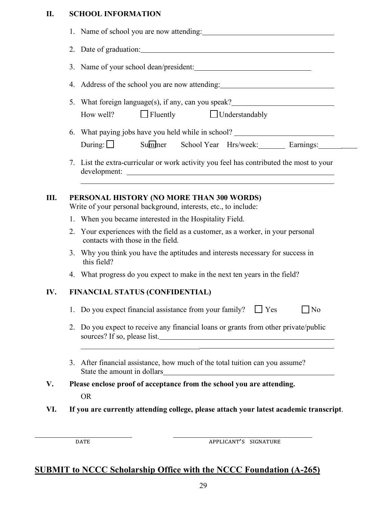# **II. SCHOOL INFORMATION**

|     | 1. Name of school you are now attending:                                                                                                                                                                                                     |  |  |  |  |  |
|-----|----------------------------------------------------------------------------------------------------------------------------------------------------------------------------------------------------------------------------------------------|--|--|--|--|--|
|     |                                                                                                                                                                                                                                              |  |  |  |  |  |
|     | 3. Name of your school dean/president:                                                                                                                                                                                                       |  |  |  |  |  |
|     | 4. Address of the school you are now attending: ________________________________                                                                                                                                                             |  |  |  |  |  |
|     | What foreign language(s), if any, can you speak?________________________________<br>5.<br>$\Box$ Fluently $\Box$ Understandably<br>How well?                                                                                                 |  |  |  |  |  |
|     | 6. What paying jobs have you held while in school? _____________________________<br>During: Summer School Year Hrs/week: Earnings:                                                                                                           |  |  |  |  |  |
|     | 7. List the extra-curricular or work activity you feel has contributed the most to your                                                                                                                                                      |  |  |  |  |  |
| Ш.  | PERSONAL HISTORY (NO MORE THAN 300 WORDS)<br>Write of your personal background, interests, etc., to include:                                                                                                                                 |  |  |  |  |  |
|     | 1. When you became interested in the Hospitality Field.                                                                                                                                                                                      |  |  |  |  |  |
|     | 2. Your experiences with the field as a customer, as a worker, in your personal<br>contacts with those in the field.                                                                                                                         |  |  |  |  |  |
|     | 3. Why you think you have the aptitudes and interests necessary for success in<br>this field?                                                                                                                                                |  |  |  |  |  |
|     | 4. What progress do you expect to make in the next ten years in the field?                                                                                                                                                                   |  |  |  |  |  |
| IV. | FINANCIAL STATUS (CONFIDENTIAL)                                                                                                                                                                                                              |  |  |  |  |  |
|     | 1. Do you expect financial assistance from your family? $\Box$ Yes<br>$\Box$ No                                                                                                                                                              |  |  |  |  |  |
|     | 2. Do you expect to receive any financial loans or grants from other private/public<br>sources? If so, please list.<br><u> 1989 - Johann John Stone, mars and de format and de format and design and design and design and design and de</u> |  |  |  |  |  |
|     | 3. After financial assistance, how much of the total tuition can you assume?                                                                                                                                                                 |  |  |  |  |  |
| V.  | Please enclose proof of acceptance from the school you are attending.                                                                                                                                                                        |  |  |  |  |  |
|     | <b>OR</b>                                                                                                                                                                                                                                    |  |  |  |  |  |
| VI. | If you are currently attending college, please attach your latest academic transcript.                                                                                                                                                       |  |  |  |  |  |
|     |                                                                                                                                                                                                                                              |  |  |  |  |  |
|     | APPLICANT'S SIGNATURE<br><b>DATE</b>                                                                                                                                                                                                         |  |  |  |  |  |

# **SUBMIT to NCCC Scholarship Office with the NCCC Foundation (A-265)**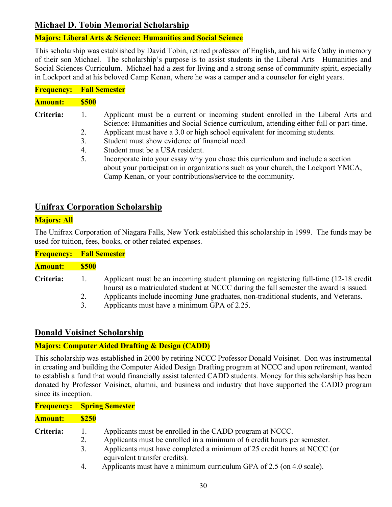# **Michael D. Tobin Memorial Scholarship**

#### **Majors: Liberal Arts & Science: Humanities and Social Science**

This scholarship was established by David Tobin, retired professor of English, and his wife Cathy in memory of their son Michael. The scholarship's purpose is to assist students in the Liberal Arts—Humanities and Social Sciences Curriculum. Michael had a zest for living and a strong sense of community spirit, especially in Lockport and at his beloved Camp Kenan, where he was a camper and a counselor for eight years.

| <b>Frequency: Fall Semester</b> |              |                                                                                                                                                                            |
|---------------------------------|--------------|----------------------------------------------------------------------------------------------------------------------------------------------------------------------------|
| Amount:                         | <b>\$500</b> |                                                                                                                                                                            |
| Criteria:                       | 1.           | Applicant must be a current or incoming student enrolled in the Liberal Arts and<br>Science: Humanities and Social Science curriculum, attending either full or part-time. |
|                                 | 2.           | Applicant must have a 3.0 or high school equivalent for incoming students.                                                                                                 |
|                                 | 3.           | Student must show evidence of financial need.                                                                                                                              |
|                                 | 4.           | Student must be a USA resident.                                                                                                                                            |
|                                 | 5.           | Incorporate into your essay why you chose this curriculum and include a section                                                                                            |
|                                 |              | about your participation in organizations such as your church, the Lockport YMCA,                                                                                          |
|                                 |              | Camp Kenan, or your contributions/service to the community.                                                                                                                |

# **Unifrax Corporation Scholarship**

#### **Majors: All**

The Unifrax Corporation of Niagara Falls, New York established this scholarship in 1999. The funds may be used for tuition, fees, books, or other related expenses.

| <b>Frequency: Fall Semester</b> |              |                                                                                                                                                                                 |
|---------------------------------|--------------|---------------------------------------------------------------------------------------------------------------------------------------------------------------------------------|
| <b>Amount:</b>                  | <b>\$500</b> |                                                                                                                                                                                 |
| Criteria:                       | 1.           | Applicant must be an incoming student planning on registering full-time (12-18 credit<br>hours) as a matriculated student at NCCC during the fall semester the award is issued. |
|                                 | 2.           | Applicants include incoming June graduates, non-traditional students, and Veterans.                                                                                             |
|                                 | 3.           | Applicants must have a minimum GPA of 2.25.                                                                                                                                     |

# **Donald Voisinet Scholarship**

**Frequency: Spring Semester**

#### **Majors: Computer Aided Drafting & Design (CADD)**

This scholarship was established in 2000 by retiring NCCC Professor Donald Voisinet. Don was instrumental in creating and building the Computer Aided Design Drafting program at NCCC and upon retirement, wanted to establish a fund that would financially assist talented CADD students. Money for this scholarship has been donated by Professor Voisinet, alumni, and business and industry that have supported the CADD program since its inception.

| Amount:          | <b>\$250</b> |                                                                                                          |
|------------------|--------------|----------------------------------------------------------------------------------------------------------|
| <b>Criteria:</b> | $\mathbf{L}$ | Applicants must be enrolled in the CADD program at NCCC.                                                 |
|                  |              | Applicants must be enrolled in a minimum of 6 credit hours per semester.                                 |
|                  | 3.           | Applicants must have completed a minimum of 25 credit hours at NCCC (or<br>equivalent transfer credits). |
|                  | 4.           | Applicants must have a minimum curriculum GPA of 2.5 (on 4.0 scale).                                     |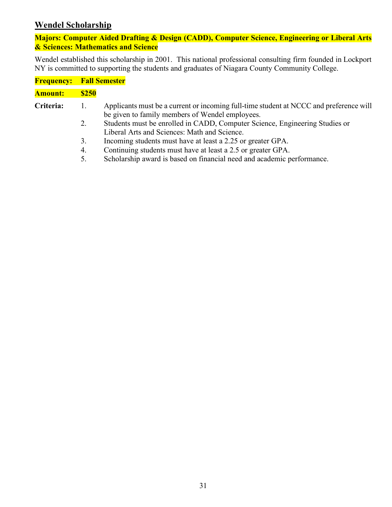# **Wendel Scholarship**

#### **Majors: Computer Aided Drafting & Design (CADD), Computer Science, Engineering or Liberal Arts & Sciences: Mathematics and Science**

Wendel established this scholarship in 2001. This national professional consulting firm founded in Lockport NY is committed to supporting the students and graduates of Niagara County Community College.

|                | <b>Frequency: Fall Semester</b> |                                                                                                                                           |  |  |
|----------------|---------------------------------|-------------------------------------------------------------------------------------------------------------------------------------------|--|--|
| <b>Amount:</b> | <b>\$250</b>                    |                                                                                                                                           |  |  |
| Criteria:      | 1.                              | Applicants must be a current or incoming full-time student at NCCC and preference will<br>be given to family members of Wendel employees. |  |  |
|                | 2.                              | Students must be enrolled in CADD, Computer Science, Engineering Studies or<br>Liberal Arts and Sciences: Math and Science.               |  |  |
|                | 3.                              | Incoming students must have at least a 2.25 or greater GPA.                                                                               |  |  |
|                | 4.                              | Continuing students must have at least a 2.5 or greater GPA.                                                                              |  |  |
|                | 5.                              | Scholarship award is based on financial need and academic performance.                                                                    |  |  |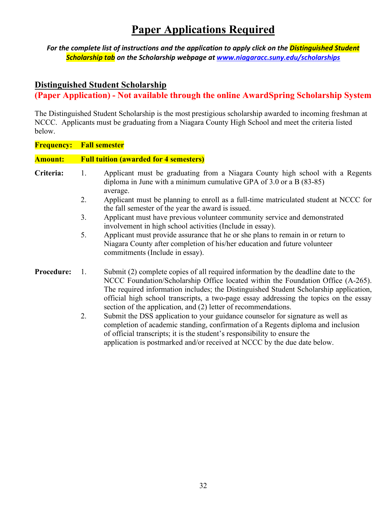# **Paper Applications Required**

*For the complete list of instructions and the application to apply click on the Distinguished Student Scholarship tab on the Scholarship webpage at www.niagaracc.suny.edu/scholarships*

#### **Distinguished Student Scholarship**

**(Paper Application) - Not available through the online AwardSpring Scholarship System** 

The Distinguished Student Scholarship is the most prestigious scholarship awarded to incoming freshman at NCCC. Applicants must be graduating from a Niagara County High School and meet the criteria listed below.

| <b>Frequency:</b> | <b>Fall semester</b>                                                                                                                                                                                                                                                                                                                                                                                                              |  |  |  |
|-------------------|-----------------------------------------------------------------------------------------------------------------------------------------------------------------------------------------------------------------------------------------------------------------------------------------------------------------------------------------------------------------------------------------------------------------------------------|--|--|--|
| <b>Amount:</b>    | <b>Full tuition (awarded for 4 semesters)</b>                                                                                                                                                                                                                                                                                                                                                                                     |  |  |  |
| Criteria:         | Applicant must be graduating from a Niagara County high school with a Regents<br>1.<br>diploma in June with a minimum cumulative GPA of $3.0$ or a B (83-85)<br>average.                                                                                                                                                                                                                                                          |  |  |  |
|                   | 2.<br>Applicant must be planning to enroll as a full-time matriculated student at NCCC for<br>the fall semester of the year the award is issued.                                                                                                                                                                                                                                                                                  |  |  |  |
|                   | 3.<br>Applicant must have previous volunteer community service and demonstrated<br>involvement in high school activities (Include in essay).                                                                                                                                                                                                                                                                                      |  |  |  |
|                   | 5.<br>Applicant must provide assurance that he or she plans to remain in or return to<br>Niagara County after completion of his/her education and future volunteer<br>commitments (Include in essay).                                                                                                                                                                                                                             |  |  |  |
| <b>Procedure:</b> | Submit (2) complete copies of all required information by the deadline date to the<br>-1.<br>NCCC Foundation/Scholarship Office located within the Foundation Office (A-265).<br>The required information includes; the Distinguished Student Scholarship application,<br>official high school transcripts, a two-page essay addressing the topics on the essay<br>section of the application, and (2) letter of recommendations. |  |  |  |
|                   | 2.<br>Submit the DSS application to your guidance counselor for signature as well as<br>completion of academic standing, confirmation of a Regents diploma and inclusion<br>of official transcripts; it is the student's responsibility to ensure the                                                                                                                                                                             |  |  |  |

application is postmarked and/or received at NCCC by the due date below.